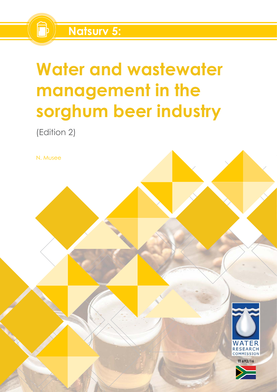# **Water and wastewater management in the** sorghum beer industry

(Edition 2)

N. Musee

 $\blacksquare$ 



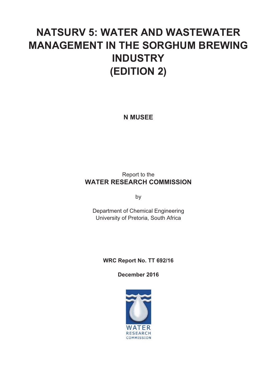# **NATSURV 5: WATER AND WASTEWATER MANAGEMENT IN THE SORGHUM BREWING INDUSTRY (EDITION 2)**

**N MUSEE** 

### Report to the **WATER RESEARCH COMMISSION**

by

Department of Chemical Engineering University of Pretoria, South Africa

### **WRC Report No. TT 692/16**

**December 2016** 

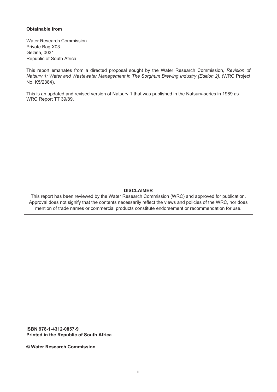#### **Obtainable from**

Water Research Commission Private Bag X03 Gezina, 0031 Republic of South Africa

This report emanates from a directed proposal sought by the Water Research Commission, *Revision of Natsurv 1: Water and Wastewater Management in The Sorghum Brewing Industry (Edition 2).* (WRC Project No. K5/2384).

This is an updated and revised version of Natsurv 1 that was published in the Natsurv-series in 1989 as WRC Report TT 39/89.

#### **DISCLAIMER**

This report has been reviewed by the Water Research Commission (WRC) and approved for publication. Approval does not signify that the contents necessarily reflect the views and policies of the WRC, nor does mention of trade names or commercial products constitute endorsement or recommendation for use.

**ISBN 978-1-4312-0857-9 Printed in the Republic of South Africa** 

**© Water Research Commission**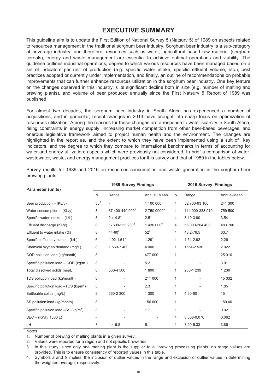### **EXECUTIVE SUMMARY**

This guideline aim is to update the First Edition of National Survey 5 (Natsurv 5) of 1989 on aspects related to resources management in the traditional sorghum beer industry. Sorghum beer industry is a sub-category of beverage industry, and therefore, resources such as water, agricultural based raw material (sorghum cereals), energy and waste management are essential to achieve optimal operations and viability. The guideline outlines industrial operations, degree to which various resources have been managed based on a set of indicators per unit of production (e.g. specific water intake, specific effluent volume, etc.), best practices adopted or currently under implementation, and finally, an outline of recommendations on probable improvements that can further enhance resources utilization in the sorghum beer industry. One key feature on the changes observed in this industry is its significant decline both in size (e.g. number of malting and brewing plants), and volume of beer produced annually since the First Natsurv 5 Report of 1989 was published.

For almost two decades, the sorghum beer industry in South Africa has experienced a number of acquisitions, and in particular, recent changes in 2013 have brought into sharp focus on optimization of resources utilization. Among the reasons for these changes are a response to water scarcity in South Africa, rising constraints in energy supply, increasing market competition from other beer-based beverages, and onerous legislative framework aimed to project human health and the environment. The changes are highlighted in the report as, and the extent to which they have been implemented using a suit of key indicators, and the degree to which they compare to international benchmarks in terms of accounting for water and energy utilization; aspects which were previously not considered. In brief a comparison of water, wastewater, waste, and energy management practices for this survey and that of 1989 in the tables below.

| <b>Parameter (units)</b>                             | <b>1989 Survey Findings</b> |                             |                         |                | 2016 Survey Findings |             |
|------------------------------------------------------|-----------------------------|-----------------------------|-------------------------|----------------|----------------------|-------------|
|                                                      | N <sup>1</sup>              | Range                       | Annual/ Mean            | N <sup>1</sup> | Range                | Annual/Mean |
| Beer production $-$ (KL/y)                           | 33 <sup>2</sup>             | $\overline{\phantom{a}}$    | 1 100 000               | 4              | 32 700-93 100        | 241 300     |
| Water consumption $-$ (KL/y)                         | 8                           | 37 400-449 000 <sup>a</sup> | 2 750 0000 <sup>a</sup> | 4              | 114 000-333 910      | 759 500     |
| Specific water intake $-$ (L/L)                      | 8                           | $2.4 - 4.8a$                | $2.5^b$                 | 4              | 3.19-3.90            | 3.54        |
| Effluent discharge (KL/y)                            | 8                           | 17600-233 200 <sup>a</sup>  | 1 430 000 <sup>b</sup>  | 4              | 56 000-204 400       | 483 700     |
| Effluent to water intake (%)                         | 8                           | $44 - 60^{\circ}$           | 52 <sup>b</sup>         | 4              | 48.2-76.5            | 63.7        |
| Specific effluent volume - (L/L)                     | 6                           | 1.02-1.51 $a$               | $1.29^{b}$              | 4              | 1.54-2.92            | 2.26        |
| Chemical oxygen demand (mg/L)                        | 8                           | 1 560-7 400                 | 4 0 0 0                 | 1              | 1654-2 530           | 2022        |
| COD pollution load (kg/month)                        | 8                           |                             | 477 000                 | 1              |                      | 25 010      |
| Specific pollution load $-$ COD (kg/m <sup>3</sup> ) | 8                           |                             | 5.2                     | 1              |                      | 3.01        |
| Total dissolved solids (mg/L)                        | 8                           | 560-4 500                   | 1800                    | 1              | 200-1 239            | 1 2 3 9     |
| TDS pollution load (kg/month)                        | 8                           |                             | 211 000                 | 1              |                      | 15 3 32     |
| Specific pollution load $-TDS$ (kg/m <sup>3</sup> )  | 8                           |                             | 2.3                     | $\mathbf{1}$   |                      | 1.85        |
| Settleable solids (mg/L)                             | 8                           | 550-2 300                   | 1 300                   | 1              | 4.50-60              | 15          |
| SS pollution load (kg/month)                         | 8                           |                             | 156 000                 | 1              |                      | 189.40      |
| Specific pollution load $-SS (kg/m3)$                | 8                           | $\overline{\phantom{a}}$    | 1.7                     | 1              |                      | 0.02        |
| SEC - (KWh/ 1000 L)                                  |                             |                             |                         | 4              | 0.058-0.070          | 0.062       |
| pH                                                   | 8                           | $4.4 - 6.8$                 | 5.1                     | 1              | 3.20-5.33            | 3.86        |

Survey results for 1989 and 2016 on resources consumption and waste generation in the sorghum beer brewing plants.

Notes:

1. Number of brewing or malting plants in a given survey.

2. Values were reported for a region and not specific breweries

3. In this study, since only one malting plant is the supplier to all brewing processing plants, no range values are provided. This is to ensure consistency of reported values in this table.

4. Symbols *a* and *b* implies, the inclusion of outlier values in the range and exclusion of outlier values in determining the weighted average, respectively.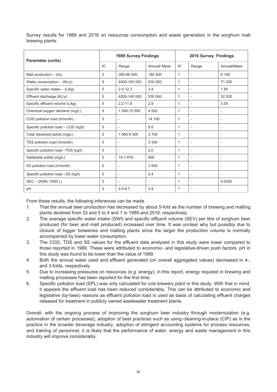Survey results for 1989 and 2016 on resources consumption and waste generation in the sorghum malt brewing plants.

| <b>Parameter (units)</b>             | 1989 Survey Findings |                          |              |                | <b>2016 Survey Findings</b> |                |  |
|--------------------------------------|----------------------|--------------------------|--------------|----------------|-----------------------------|----------------|--|
|                                      | N <sup>1</sup>       | Range                    | Annual/ Mean | N <sup>1</sup> | Range                       | Annual/Mean    |  |
| Malt production $- (t/y)$            | 5                    | 360-66 000               | 185 400      | 1              | $\overline{a}$              | 9 100          |  |
| Water consumption - (KL/y)           | 5                    | 4400-165 000             | 630 000      | 1              | $\overline{a}$              | 71 300         |  |
| Specific water intake $-$ (L/kg)     | 5                    | $2.5 - 12.3$             | 3.4          | 1              | $\overline{\phantom{0}}$    | 7.85           |  |
| Effluent discharge (KL/y)            | 5                    | 4200-145 000             | 530 000      | 1              | $\overline{\phantom{0}}$    | 32 205         |  |
| Specific effluent volume (L/kg)      | 5                    | $2.2 - 11.9$             | 2.9          | 1              | $\overline{\phantom{0}}$    | 3.55           |  |
| Chemical oxygen demand (mg/L)        | 5                    | 1 580-15 500             | 4 500        | $\mathbf{1}$   | $\overline{a}$              | $\blacksquare$ |  |
| COD pollution load (t/month)         | 5                    | ٠                        | 14 100       | $\mathbf{1}$   | $\overline{a}$              | ٠              |  |
| Specific pollution load - COD (kg/t) | 5                    | $\overline{\phantom{a}}$ | 8.6          | 1              | $\overline{\phantom{0}}$    | $\blacksquare$ |  |
| Total dissolved solids (mg/L)        | 5                    | 1 060-9 500              | 3700         | 1              | $\overline{\phantom{0}}$    | $\blacksquare$ |  |
| TDS pollution load (t/month)         | 5                    | ÷,                       | 3 3 0 0      | 1              | $\overline{\phantom{a}}$    | ٠              |  |
| Specific pollution load -TDS (kg/t)  | 5                    |                          | 2.0          | 1              | ÷,                          | ٠              |  |
| Settleable solids (mg/L)             | 5                    | 10-1 676                 | 900          | 1              | $\overline{\phantom{0}}$    | ٠              |  |
| SS pollution load (t/month)          | 5                    |                          | 3 9 0 0      | 1              | $\overline{\phantom{a}}$    | ٠              |  |
| Specific pollution load -SS (kg/t)   | 5                    | $\overline{\phantom{a}}$ | 2.4          | 1              | $\overline{\phantom{0}}$    | $\blacksquare$ |  |
| SEC - (KWh/ 1000 L)                  | 5                    |                          | ٠            | 1              | $\overline{a}$              | 0.0292         |  |
| pH                                   | 5                    | $4.0 - 6.7$              | 4.9          | 1              |                             |                |  |

From these results, the following inferences can be made.

- 1. That the annual beer production has decreased by about 5-fold as the number of brewing and malting plants declined from 33 and 5 to 4 and 1 in 1989 and 2016, respectively.
- 2. The average specific water intake (SWI) and specific effluent volume (SEV) per litre of sorghum beer produced (for beer and malt produced) increased over time. It was unclear why but possibly due to closure of bigger breweries and malting plants since the larger the production volume is normally accompanied by lower water consumption.
- 3. The COD, TDS and SS values for the effluent data analysed in this study were lower compared to those reported in 1989. These were attributed to economic- and legislative-driven push factors. pH in this study was found to be lower than the value of 1989.
- 4. Both the annual water used and effluent generated (on overall aggregated values) decreased in 4-, and 3-folds, respectively.
- 5. Due to increasing pressures on resources (e.g. energy), in this report, energy required in brewing and malting processes has been reported for the first time.
- 6. Specific pollution load (SPL) was only calculated for one brewery plant in this study. With that in mind, it appears the effluent load has been reduced considerably. This can be attributed to economic and legislative (by-laws) reasons as effluent pollution load is used as basis of calculating effluent charges released for treatment in publicly owned wastewater treatment plants.

Overall, with the ongoing process of improving the sorghum beer industry through modernization (e.g. automation of certain processes), adoption of best practices such as using cleaning-in-place (CIP) as is the practice in the broader beverage industry, adoption of stringent accounting systems for process resources, and training of personnel, it is likely that the performance of water, energy and waste management in this industry will improve considerably.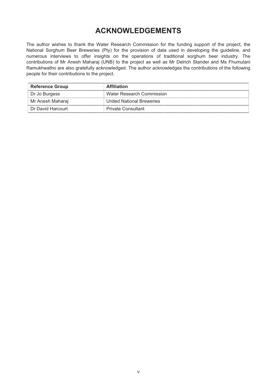### **ACKNOWLEDGEMENTS**

The author wishes to thank the Water Research Commission for the funding support of the project, the National Sorghum Beer Breweries (Pty) for the provision of data used in developing the guideline, and numerous interviews to offer insights on the operations of traditional sorghum beer industry. The contributions of Mr Anesh Maharaj (UNB) to the project as well as Mr Delrich Stander and Ms Fhumulani Ramukhwatho are also gratefully acknowledged. The author acknowledges the contributions of the following people for their contributions to the project.

| <b>Reference Group</b> | <b>Affiliation</b>          |
|------------------------|-----------------------------|
| Dr Jo Burgess          | Water Research Commission   |
| Mr Anesh Maharaj       | ⊟United National Breweries. |
| Dr David Harcourt      | <b>Private Consultant</b>   |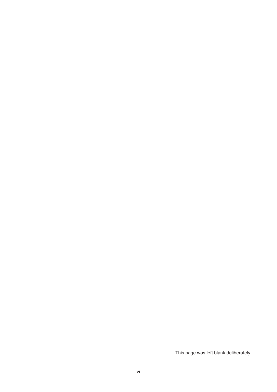This page was left blank deliberately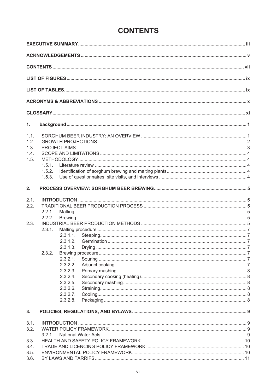# **CONTENTS**

| 1.1.<br>1.2.<br>1.3.<br>1.4.<br>1.5.<br>1.5.2.<br>1.5.3.<br>2.1.<br>2.2.<br>2.2.1.<br>2.2.2.<br>2.3.<br>2.3.1.<br>2.3.1.1.<br>2.3.1.2.<br>2.3.1.3.<br>2.3.2.<br>$2.3.2.1$ .<br>2.3.2.2.<br>2.3.2.3.<br>2.3.2.4.<br>2.3.2.5.<br>2.3.2.6.<br>2.3.2.7.<br>2.3.2.8.<br>3.1.<br>3.2.<br>3.2.1<br>3.3.<br>3.4.<br>3.5. |      |  |
|------------------------------------------------------------------------------------------------------------------------------------------------------------------------------------------------------------------------------------------------------------------------------------------------------------------|------|--|
|                                                                                                                                                                                                                                                                                                                  |      |  |
|                                                                                                                                                                                                                                                                                                                  |      |  |
|                                                                                                                                                                                                                                                                                                                  |      |  |
|                                                                                                                                                                                                                                                                                                                  |      |  |
|                                                                                                                                                                                                                                                                                                                  |      |  |
|                                                                                                                                                                                                                                                                                                                  |      |  |
|                                                                                                                                                                                                                                                                                                                  | 1.   |  |
|                                                                                                                                                                                                                                                                                                                  |      |  |
|                                                                                                                                                                                                                                                                                                                  |      |  |
|                                                                                                                                                                                                                                                                                                                  |      |  |
|                                                                                                                                                                                                                                                                                                                  |      |  |
|                                                                                                                                                                                                                                                                                                                  |      |  |
|                                                                                                                                                                                                                                                                                                                  |      |  |
|                                                                                                                                                                                                                                                                                                                  |      |  |
|                                                                                                                                                                                                                                                                                                                  |      |  |
|                                                                                                                                                                                                                                                                                                                  | 2.   |  |
|                                                                                                                                                                                                                                                                                                                  |      |  |
|                                                                                                                                                                                                                                                                                                                  |      |  |
|                                                                                                                                                                                                                                                                                                                  |      |  |
|                                                                                                                                                                                                                                                                                                                  |      |  |
|                                                                                                                                                                                                                                                                                                                  |      |  |
|                                                                                                                                                                                                                                                                                                                  |      |  |
|                                                                                                                                                                                                                                                                                                                  |      |  |
|                                                                                                                                                                                                                                                                                                                  |      |  |
|                                                                                                                                                                                                                                                                                                                  |      |  |
|                                                                                                                                                                                                                                                                                                                  |      |  |
|                                                                                                                                                                                                                                                                                                                  |      |  |
|                                                                                                                                                                                                                                                                                                                  |      |  |
|                                                                                                                                                                                                                                                                                                                  |      |  |
|                                                                                                                                                                                                                                                                                                                  |      |  |
|                                                                                                                                                                                                                                                                                                                  |      |  |
|                                                                                                                                                                                                                                                                                                                  |      |  |
|                                                                                                                                                                                                                                                                                                                  |      |  |
|                                                                                                                                                                                                                                                                                                                  |      |  |
|                                                                                                                                                                                                                                                                                                                  | 3.   |  |
|                                                                                                                                                                                                                                                                                                                  |      |  |
|                                                                                                                                                                                                                                                                                                                  |      |  |
|                                                                                                                                                                                                                                                                                                                  |      |  |
|                                                                                                                                                                                                                                                                                                                  |      |  |
|                                                                                                                                                                                                                                                                                                                  |      |  |
|                                                                                                                                                                                                                                                                                                                  |      |  |
|                                                                                                                                                                                                                                                                                                                  | 3.6. |  |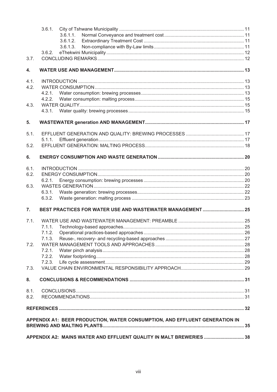|      | 3.6.1. | 3.6.1.1.                                                                    |  |
|------|--------|-----------------------------------------------------------------------------|--|
|      |        | 3.6.1.2.                                                                    |  |
|      |        | 3.6.1.3.                                                                    |  |
|      | 3.6.2. |                                                                             |  |
| 3.7. |        |                                                                             |  |
| 4.   |        |                                                                             |  |
| 4.1. |        |                                                                             |  |
| 4.2. |        |                                                                             |  |
|      | 4.2.1. |                                                                             |  |
|      | 4.2.2. |                                                                             |  |
| 4.3. |        |                                                                             |  |
|      |        |                                                                             |  |
| 5.   |        |                                                                             |  |
| 5.1. |        |                                                                             |  |
|      | 5.1.1. |                                                                             |  |
| 5.2. |        |                                                                             |  |
| 6.   |        |                                                                             |  |
| 6.1. |        |                                                                             |  |
| 6.2. |        |                                                                             |  |
|      | 6.2.1. |                                                                             |  |
| 6.3. |        |                                                                             |  |
|      | 6.3.1. |                                                                             |  |
|      | 6.3.2. |                                                                             |  |
| 7.   |        | BEST PRACTICES FOR WATER USE AND WASTEWATER MANAGEMENT  25                  |  |
| 7.1. |        |                                                                             |  |
|      | 7.1.1. |                                                                             |  |
|      | 7.1.2. |                                                                             |  |
|      |        |                                                                             |  |
| 7.2. |        |                                                                             |  |
|      |        |                                                                             |  |
|      | 7.2.2. |                                                                             |  |
|      | 7.2.3. |                                                                             |  |
| 7.3. |        |                                                                             |  |
| 8.   |        |                                                                             |  |
| 8.1. |        |                                                                             |  |
| 8.2. |        |                                                                             |  |
|      |        |                                                                             |  |
|      |        | APPENDIX A1: BEER PRODUCTION, WATER CONSUMPTION, AND EFFLUENT GENERATION IN |  |
|      |        |                                                                             |  |
|      |        | APPENDIX A2: MAINS WATER AND EFFLUENT QUALITY IN MALT BREWERIES  38         |  |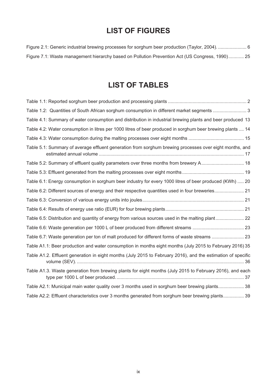# **LIST OF FIGURES**

Figure 2.1: Generic industrial brewing processes for sorghum beer production (Taylor, 2004). ...................... 6 Figure 7.1: Waste management hierarchy based on Pollution Prevention Act (US Congress, 1990) ............ 25

### **LIST OF TABLES**

| Table 1.2: Quantities of South African sorghum consumption in different market segments  3                   |
|--------------------------------------------------------------------------------------------------------------|
| Table 4.1: Summary of water consumption and distribution in industrial brewing plants and beer produced 13   |
| Table 4.2: Water consumption in litres per 1000 litres of beer produced in sorghum beer brewing plants  14   |
|                                                                                                              |
| Table 5.1: Summary of average effluent generation from sorghum brewing processes over eight months, and      |
| Table 5.2: Summary of effluent quality parameters over three months from brewery A 18                        |
|                                                                                                              |
| Table 6.1: Energy consumption in sorghum beer industry for every 1000 litres of beer produced (KWh)  20      |
| Table 6.2: Different sources of energy and their respective quantities used in four breweries 21             |
|                                                                                                              |
|                                                                                                              |
| Table 6.5: Distribution and quantity of energy from various sources used in the malting plant 22             |
|                                                                                                              |
| Table 6.7: Waste generation per ton of malt produced for different forms of waste streams  23                |
| Table A1.1: Beer production and water consumption in months eight months (July 2015 to February 2016) 35     |
| Table A1.2. Effluent generation in eight months (July 2015 to February 2016), and the estimation of specific |
| Table A1.3. Waste generation from brewing plants for eight months (July 2015 to February 2016), and each     |
| Table A2.1: Municipal main water quality over 3 months used in sorghum beer brewing plants 38                |
| Table A2.2: Effluent characteristics over 3 months generated from sorghum beer brewing plants 39             |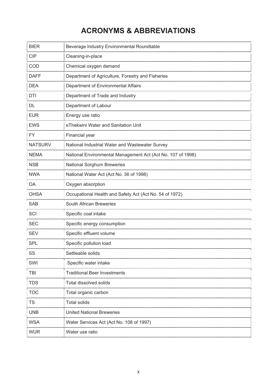# **ACRONYMS & ABBREVIATIONS**

| <b>BIER</b>    | Beverage Industry Environmental Roundtable                  |
|----------------|-------------------------------------------------------------|
| <b>CIP</b>     | Cleaning-in-place                                           |
| COD            | Chemical oxygen demand                                      |
| <b>DAFF</b>    | Department of Agriculture, Forestry and Fisheries           |
| <b>DEA</b>     | Department of Environmental Affairs                         |
| <b>DTI</b>     | Department of Trade and Industry                            |
| <b>DL</b>      | Department of Labour                                        |
| <b>EUR</b>     | Energy use ratio                                            |
| <b>EWS</b>     | eThekwini Water and Sanitation Unit                         |
| <b>FY</b>      | Financial year                                              |
| <b>NATSURV</b> | National Industrial Water and Wastewater Survey             |
| <b>NEMA</b>    | National Environmental Management Act (Act No. 107 of 1998) |
| <b>NSB</b>     | National Sorghum Breweries                                  |
| <b>NWA</b>     | National Water Act (Act No. 36 of 1998)                     |
| OA             | Oxygen absorption                                           |
| <b>OHSA</b>    | Occupational Health and Safety Act (Act No. 54 of 1972)     |
| <b>SAB</b>     | South African Breweries                                     |
| SCI            | Specific coal intake                                        |
| <b>SEC</b>     | Specific energy consumption                                 |
| <b>SEV</b>     | Specific effluent volume                                    |
| <b>SPL</b>     | Specific pollution load                                     |
| SS             | Settleable solids                                           |
| SWI            | Specific water intake                                       |
| TBI            | <b>Traditional Beer Investments</b>                         |
| <b>TDS</b>     | <b>Total dissolved solids</b>                               |
| <b>TOC</b>     | Total organic carbon                                        |
| <b>TS</b>      | <b>Total solids</b>                                         |
| <b>UNB</b>     | <b>United National Breweries</b>                            |
| <b>WSA</b>     | Water Services Act (Act No. 108 of 1997)                    |
| <b>WUR</b>     | Water use ratio                                             |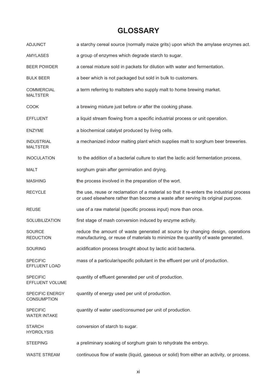### **GLOSSARY**

- ADJUNCT a starchy cereal source (normally maize grits) upon which the amylase enzymes act.
- AMYLASES a group of enzymes which degrade starch to sugar.
- BEER POWDERa cereal mixture sold in packets for dilution with water and fermentation.
- BULK BEERa beer which is not packaged but sold in bulk to customers.
- COMMERCIAL a term referring to maltsters who supply malt to home brewing market.
- COOK a brewing mixture just before *or* after the cooking phase.
- EFFLUENT a liquid stream flowing from a specific industrial process or unit operation.
- ENZYMEa biochemical catalyst produced by living cells.

MALTSTER

MALTSTER

EFFLUENT LOAD

**CONSUMPTION** 

WATER INTAKE

**HYDROLYSIS** 

EFFLUENT VOLUME

- INDUSTRIAL a mechanized indoor malting plant which supplies malt to sorghum beer breweries.
- INOCULATION to the addition of a bacterial culture to start the lactic acid fermentation process.
- MALT sorghum grain after germination and drying.
- MASHING **t**he process involved in the preparation of the wort.
- RECYCLE the use, reuse or reclamation of a material so that it re-enters the industrial process or used elsewhere rather than become a waste after serving its original purpose.
- REUSE use of a raw material (specific process input) more than once.
- SOLUBILIZATION first stage of mash conversion induced by enzyme activity.
- SOURCE reduce the amount of waste generated at source by changing design, operations REDUCTION manufacturing, or reuse of materials to minimize the quantity of waste generated.
- SOURING acidification process brought about by lactic acid bacteria.
- SPECIFIC mass of a particular/specific pollutant in the effluent per unit of production.
- SPECIFIC quantity of effluent generated per unit of production.
- SPECIFIC ENERGY quantity of energy used per unit of production.
- SPECIFIC quantity of water used/consumed per unit of production.
- STARCH conversion of starch to sugar.
- STEEPING a preliminary soaking of sorghum grain to rehydrate the embryo.
- WASTE STREAM continuous flow of waste (liquid, gaseous or solid) from either an activity, or process.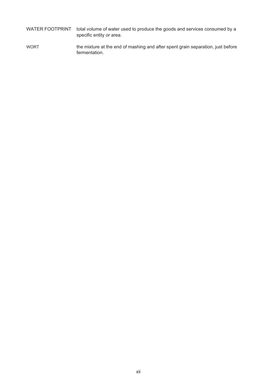- WATER FOOTPRINT total volume of water used to produce the goods and services consumed by a specific entity or area.
- WORT the mixture at the end of mashing and after spent grain separation, just before fermentation.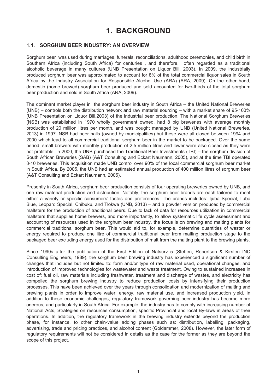### **1. BACKGROUND**

#### **1.1. SORGHUM BEER INDUSTRY: AN OVERVIEW**

Sorghum beer was used during marriages, funerals, reconciliations, adulthood ceremonies, and child birth in Southern Africa (including South Africa) for centuries , and therefore, often regarded as a traditional alcoholic beverage in many cultures (UNB Presentation on Liquor Bill, 2003). In 2009, the industrially produced sorghum beer was approximated to account for 8% of the total commercial liquor sales in South Africa by the Industry Association for Responsible Alcohol Use (ARA) (ARA, 2009). On the other hand, domestic (home brewed) sorghum beer produced and sold accounted for two-thirds of the total sorghum beer production and sold in South Africa (ARA, 2009).

The dominant market player in the sorghum beer industry in South Africa – the United National Breweries (UNB) – controls both the distribution network and raw material sourcing – with a market share of 95-100% (UNB Presentation on Liquor Bill,2003) of the industrial beer production. The National Sorghum Breweries (NSB) was established in 1970 wholly government owned, had 8 big breweries with average monthly production of 20 million litres per month, and was bought managed by UNB (United National Breweries, 2013) in 1997. NSB had beer halls (owned by municipalities) but these were all closed between 1994 and 2000 which lead to all commercial traditional sorghum beer in the market to be packaged. Over the same period, small brewers with monthly production of 2.5 million litres and lower were also closed as they were not profitable. In 2000, the UNB purchased the Traditional Beer Investments (TBI) – the sorghum division of South African Breweries (SAB) (A&T Consulting and Eckart Naumann, 2005), and at the time TBI operated 8-10 breweries. This acquisition made UNB control over 90% of the local commercial sorghum beer market in South Africa. By 2005, the UNB had an estimated annual production of 400 million litres of sorghum beer (A&T Consulting and Eckart Naumann, 2005).

Presently in South Africa, sorghum beer production consists of four operating breweries owned by UNB, and one raw material production and distribution. Notably, the sorghum beer brands are each tailored to meet either a variety or specific consumers' tastes and preferences. The brands includes: Ijuba Special, Ijuba Blue, Leopard Special, Chibuku, and Tlokwe (UNB, 2013) – and a powder version produced by commercial maltsters for the production of traditional beers. Due to lack of data for resources utilization in commercial maltsters that supplies home brewers, and more importantly, to allow systematic life cycle assessment and accounting of resources used in the sorghum beer industry, the focus is on brewing and malting plants for commercial traditional sorghum beer. This would aid to, for example, determine quantities of waster or energy required to produce one litre of commercial traditional beer from malting production stage to the packaged beer excluding energy used for the distribution of malt from the malting plant to the brewing plants.

Since 1990s after the publication of the First Edition of Natsurv 5 (Steffen, Robertson & Kirsten INC Consulting Engineers, 1989), the sorghum beer brewing industry has experienced a significant number of changes that includes but not limited to: form and/or type of raw material used, operational changes, and introduction of improved technologies for wastewater and waste treatment. Owing to sustained increases in cost of: fuel oil, raw materials including freshwater, treatment and discharge of wastes, and electricity has compelled the sorghum brewing industry to reduce production costs by intensifying their production processes. This have been achieved over the years through consolidation and modernization of malting and brewing plants in order to improve water, energy, raw material use, and increased production yield. In addition to these economic challenges, regulatory framework governing beer industry has become more onerous, and particularly in South Africa. For example, the industry has to comply with increasing number of National Acts, Strategies on resources consumption, specific Provincial and local By-laws in areas of their operations. In addition, the regulatory framework in the brewing industry extends beyond the production phase, for instance, to other chain-value adding phases such as: distribution, labelling, packaging, advertising, trade and pricing practices, and alcohol content (Goldammer, 2008). However, the later form of regulatory requirements will not be considered in details as the case for the former as they are beyond the scope of this project.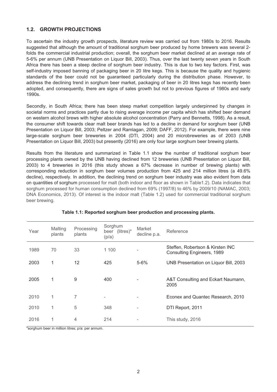#### **1.2. GROWTH PROJECTIONS**

To ascertain the industry growth prospects, literature review was carried out from 1980s to 2016. Results suggested that although the amount of traditional sorghum beer produced by home brewers was several 2folds the commercial industrial production; overall, the sorghum beer market declined at an average rate of 5-6% per annum (UNB Presentation on Liquor Bill, 2003). Thus, over the last twenty seven years in South Africa there has been a steep decline of sorghum beer industry. This is due to two key factors. First, was self-industry imposed banning of packaging beer in 20 litre kegs. This is because the quality and hygienic standards of the beer could not be guaranteed particularly during the distribution phase. However, to address the declining trend in sorghum beer market, packaging of beer in 20 litres kegs has recently been adopted, and consequently, there are signs of sales growth but not to previous figures of 1980s and early 1990s.

Secondly, in South Africa; there has been steep market competition largely underpinned by changes in societal norms and practices partly due to rising average income per capita which has shifted beer demand on western alcohol brews with higher absolute alcohol concentration (Parry and Bennetts, 1998). As a result, the consumer shift towards clear malt beer brands has led to a decline in demand for sorghum beer (UNB Presentation on Liquor Bill, 2003; Peltzer and Ramlagan, 2009; DAFF, 2012). For example, there were nine large-scale sorghum beer breweries in 2004 (DTI, 2004) and 20 microbreweries as of 2003 (UNB Presentation on Liquor Bill, 2003) but presently (2016) are only four large sorghum beer brewing plants.

Results from the literature and summarized in Table 1.1 show the number of traditional sorghum beer processing plants owned by the UNB having declined from 12 breweries (UNB Presentation on Liquor Bill, 2003) to 4 breweries in 2016 (this study shows a 67% decrease in number of brewing plants) with corresponding reduction in sorghum beer volumes production from 425 and 214 million litres (a 49.6% decline), respectively. In addition, the declining trend on sorghum beer industry was also evident from data on quantities of sorghum processed for malt (both indoor and floor as shown in Table1.2). Data indicates that sorghum processed for human consumption declined from 69% (1997/8) to 46% by 2009/10 (NAMAC, 2003; DNA Economics, 2013). Of interest is the indoor malt (Table 1.2) used for commercial traditional sorghum beer brewing.

| Year | Malting<br>plants | Processing<br>plants | Sorghum<br>beer (litres)*<br>(p/a) | Market<br>decline p.a.   | Reference                                                      |
|------|-------------------|----------------------|------------------------------------|--------------------------|----------------------------------------------------------------|
| 1989 | 70                | 33                   | 1 100                              |                          | Steffen, Robertson & Kirsten INC<br>Consulting Engineers, 1989 |
| 2003 | 1                 | 12                   | 425                                | $5 - 6%$                 | UNB Presentation on Liquor Bill, 2003                          |
| 2005 | 1                 | 9                    | 400                                |                          | A&T Consulting and Eckart Naumann,<br>2005                     |
| 2010 | 1                 | 7                    |                                    |                          | Econex and Quantec Research, 2010                              |
| 2010 | 1                 | 5                    | 348                                |                          | DTI Report, 2011                                               |
| 2016 | 1                 | 4                    | 214                                | $\overline{\phantom{0}}$ | This study, 2016                                               |

#### **Table 1.1: Reported sorghum beer production and processing plants.**

\*sorghum beer in million litres; p/a: per annum.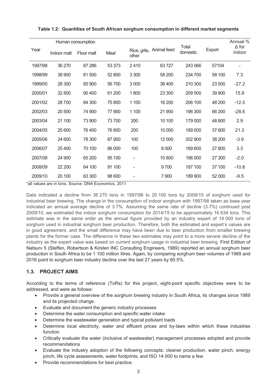|         |             | Human consumption |                                           |         |                   |         |                        | Annual % |
|---------|-------------|-------------------|-------------------------------------------|---------|-------------------|---------|------------------------|----------|
| Year    | Indoor malt | Floor malt        | Rice, grits, Animal feed<br>Meal<br>other |         | Total<br>domestic | Export  | $\Delta$ for<br>indoor |          |
| 1997/98 | 36 270      | 87 286            | 53 373                                    | 2410    | 63727             | 243 066 | 57104                  |          |
| 1998/99 | 38 900      | 81500             | 52 800                                    | 3 3 0 0 | 58 200            | 234 700 | 58 100                 | 7.3      |
| 1999/00 | 28 300      | 85 900            | 56700                                     | 3 0 0 0 | 36 400            | 210 300 | 23 500                 | $-27.2$  |
| 2000/01 | 32 800      | 90 400            | 61 200                                    | 1800    | 23 300            | 209 500 | 39 900                 | 15.9     |
| 2001/02 | 28700       | 84 300            | 75800                                     | 1 100   | 16 200            | 206 100 | 48 200                 | $-12.5$  |
| 2002/03 | 20 500      | 74 900            | 77 900                                    | 1 100   | 21 900            | 196 300 | 66 200                 | $-28.6$  |
| 2003/04 | 21 100      | 73 900            | 73700                                     | 200     | 10 100            | 179 000 | 48 800                 | 2.9      |
| 2004/05 | 25 600      | 76400             | 76800                                     | 200     | 10 000            | 189 000 | 37 600                 | 21.3     |
| 2005/06 | 24 600      | 78 300            | 87900                                     | 100     | 12 000            | 202 900 | 38 200                 | $-3.9$   |
| 2006/07 | 25 400      | 70 100            | 86 000                                    | 100     | 8 0 0 0           | 189 600 | 27 800                 | 3.3      |
| 2007/08 | 24 900      | 65 200            | 95 100                                    |         | 10800             | 196 000 | 27 300                 | $-2.0$   |
| 2008/09 | 22 200      | 64 100            | 91 100                                    |         | 9700              | 187 100 | 37 100                 | $-10.8$  |
| 2009/10 | 20 100      | 63 300            | 98 600                                    |         | 7 900             | 189 900 | 52 000                 | $-9.5$   |

#### **Table 1.2: Quantities of South African sorghum consumption in different market segments**

\*all values are in tons. Source: DNA Economics, 2011

Data indicated a decline from 36 270 tons in 1997/98 to 20 100 tons by 2009/10 of sorghum used for industrial beer brewing. The change in the consumption of indoor sorghum with 1997/98 taken as base year indicated an annual average decline of 3.7%. Assuming the same rate of decline (3.7%) continued post 2009/10, we estimated the indoor sorghum consumption for 2014/15 to be approximately 16 634 tons. This estimate was in the same order as the annual figure provided by an industry expert of 14 000 tons of sorghum used in industrial sorghum beer production. Therefore, both the estimated and expert's values are in good agreement, and the small difference may have been due to beer production from smaller brewing plants for the former case. The difference in these two estimates may point to a more severe decline of the industry as the expert value was based on current sorghum usage in industrial beer brewing. First Edition of Natsurv 5 (Steffen, Robertson & Kirsten INC Consulting Engineers, 1989) reported an annual sorghum beer production in South Africa to be 1 100 million litres. Again, by comparing sorghum beer volumes of 1989 and 2016 point to sorghum beer industry decline over the last 27 years by 80.5%.

#### **1.3. PROJECT AIMS**

According to the terms of reference (ToRs) for this project, eight-point specific objectives were to be addressed, and were as follows:

- Provide a general overview of the sorghum brewing industry in South Africa, its changes since 1989 and its projected change.
- Evaluate and document the generic industry processes
- Determine the water consumption and specific water intake
- Determine the wastewater generation and typical pollutant loads
- Determine local electricity, water and effluent prices and by-laws within which these industries function
- Critically evaluate the water (inclusive of wastewater) management processes adopted and provide recommendations
- Evaluate the industry adoption of the following concepts: cleaner production, water pinch, energy pinch, life cycle assessments, water footprints, and ISO 14 000 to name a few
- Provide recommendations for best practice.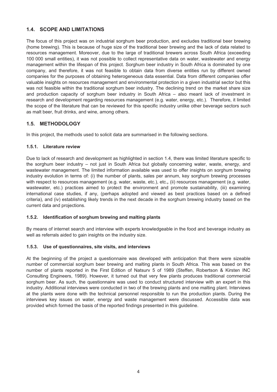#### **1.4. SCOPE AND LIMITATIONS**

The focus of this project was on industrial sorghum beer production, and excludes traditional beer brewing (home brewing). This is because of huge size of the traditional beer brewing and the lack of data related to resources management. Moreover, due to the large of traditional brewers across South Africa (exceeding 100 000 small entities), it was not possible to collect representative data on water, wastewater and energy management within the lifespan of this project. Sorghum beer industry in South Africa is dominated by one company, and therefore, it was not feasible to obtain data from diverse entities run by different owned companies for the purposes of obtaining heterogeneous data essential. Data from different companies offer valuable insights on resources management and environmental protection in a given industrial sector but this was not feasible within the traditional sorghum beer industry. The declining trend on the market share size and production capacity of sorghum beer industry in South Africa – also meant lack of investment in research and development regarding resources management (e.g. water, energy, etc.). Therefore, it limited the scope of the literature that can be reviewed for this specific industry unlike other beverage sectors such as malt beer, fruit drinks, and wine, among others.

#### **1.5. METHODOLOGY**

In this project, the methods used to solicit data are summarised in the following sections.

#### **1.5.1. Literature review**

Due to lack of research and development as highlighted in section 1.4, there was limited literature specific to the sorghum beer industry – not just in South Africa but globally concerning water, waste, energy, and wastewater management. The limited information available was used to offer insights on sorghum brewing industry evolution in terms of: (i) the number of plants, sales per annum, key sorghum brewing processes with respect to resources management (e.g. water, waste, etc.), etc.**,** (ii) resources management (e.g. water, wastewater, etc.) practices aimed to protect the environment and promote sustainability, (iii) examining international case studies, if any, (perhaps adopted and viewed as best practices based on a defined criteria), and (iv) establishing likely trends in the next decade in the sorghum brewing industry based on the current data and projections.

#### **1.5.2. Identification of sorghum brewing and malting plants**

By means of internet search and interview with experts knowledgeable in the food and beverage industry as well as referrals aided to gain insights on the industry size.

#### **1.5.3. Use of questionnaires, site visits, and interviews**

At the beginning of the project a questionnaire was developed with anticipation that there were sizeable number of commercial sorghum beer brewing and malting plants in South Africa. This was based on the number of plants reported in the First Edition of Natsurv 5 of 1989 (Steffen, Robertson & Kirsten INC Consulting Engineers, 1989). However, it turned out that very few plants produces traditional commercial sorghum beer. As such, the questionnaire was used to conduct structured interview with an expert in this industry. Additional interviews were conducted in two of the brewing plants and one malting plant. Interviews at the plants were done with the technical personnel responsible to run the production plants. During the interviews key issues on water, energy and waste management were discussed. Accessible data was provided which formed the basis of the reported findings presented in this guideline.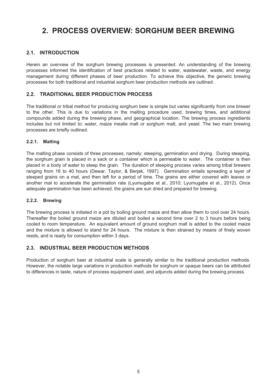# **2. PROCESS OVERVIEW: SORGHUM BEER BREWING**

#### **2.1. INTRODUCTION**

Herein an overview of the sorghum brewing processes is presented. An understanding of the brewing processes informed the identification of best practices related to water, wastewater, waste, and energy management during different phases of beer production. To achieve this objective, the generic brewing processes for both traditional and industrial sorghum beer production methods are outlined.

#### **2.2. TRADITIONAL BEER PRODUCTION PROCESS**

The traditional or tribal method for producing sorghum beer is simple but varies significantly from one brewer to the other. This is due to variations in the malting procedure used, brewing times, and additional compounds added during the brewing phase, and geographical location. The brewing process ingredients includes but not limited to: water, maize mealie malt or sorghum malt, and yeast. The two main brewing processes are briefly outlined.

#### **2.2.1. Malting**

The malting phase consists of three processes, namely: steeping, germination and drying. During steeping, the sorghum grain is placed in a sack or a container which is permeable to water. The container is then placed in a body of water to steep the grain. The duration of steeping process varies among tribal brewers ranging from 16 to 40 hours (Dewar, Taylor, & Berjak, 1997). Germination entails spreading a layer of steeped grains on a mat, and then left for a period of time. The grains are either covered with leaves or another mat to accelerate the germination rate (Lyumugabe et al., 2010; Lyumugabe et al., 2012). Once adequate germination has been achieved, the grains are sun dried and prepared for brewing.

#### **2.2.2. Brewing**

The brewing process is initiated in a pot by boiling ground maize and then allow them to cool over 24 hours. Thereafter the boiled ground maize are diluted and boiled a second time over 2 to 3 hours before being cooled to room temperature. An equivalent amount of ground sorghum malt is added to the cooled maize and the mixture is allowed to stand for 24 hours. The mixture is then strained by means of finely woven reeds, and is ready for consumption within 3 days.

#### **2.3. INDUSTRIAL BEER PRODUCTION METHODS**

Production of sorghum beer at industrial scale is generally similar to the traditional production methods. However, the notable large variations in production methods for sorghum or opaque beers can be attributed to differences in taste, nature of process equipment used, and adjuncts added during the brewing process.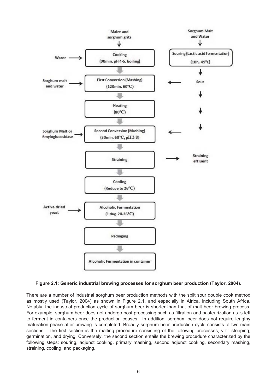

#### **Figure 2.1: Generic industrial brewing processes for sorghum beer production (Taylor, 2004).**

There are a number of industrial sorghum beer production methods with the split sour double cook method as mostly used (Taylor, 2004) as shown in Figure 2.1, and especially in Africa, including South Africa. Notably, the industrial production cycle of sorghum beer is shorter than that of malt beer brewing process. For example, sorghum beer does not undergo post processing such as filtration and pasteurization as is left to ferment in containers once the production ceases. In addition, sorghum beer does not require lengthy maturation phase after brewing is completed. Broadly sorghum beer production cycle consists of two main sections. The first section is the malting procedure consisting of the following processes, viz.: steeping, germination, and drying. Conversely, the second section entails the brewing procedure characterized by the following steps: souring, adjunct cooking, primary mashing, second adjunct cooking, secondary mashing, straining, cooling, and packaging.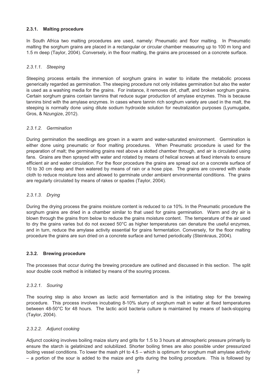#### **2.3.1. Malting procedure**

In South Africa two malting procedures are used, namely: Pneumatic and floor malting. In Pneumatic malting the sorghum grains are placed in a rectangular or circular chamber measuring up to 100 m long and 1.5 m deep (Taylor, 2004). Conversely, in the floor malting, the grains are processed on a concrete surface.

#### *2.3.1.1. Steeping*

Steeping process entails the immersion of sorghum grains in water to initiate the metabolic process generically regarded as germination. The steeping procedure not only initiates germination but also the water is used as a washing media for the grains. For instance, it removes dirt, chaff, and broken sorghum grains. Certain sorghum grains contain tannins that reduce sugar production of amylase enzymes. This is because tannins bind with the amylase enzymes. In cases where tannin rich sorghum variety are used in the malt, the steeping is normally done using dilute sodium hydroxide solution for neutralization purposes (Lyumugabe, Gros, & Nzungize, 2012).

#### *2.3.1.2. Germination*

During germination the seedlings are grown in a warm and water-saturated environment. Germination is either done using pneumatic or floor malting procedures. When Pneumatic procedure is used for the preparation of malt; the germinating grains rest above a slotted chamber through, and air is circulated using fans. Grains are then sprayed with water and rotated by means of helical screws at fixed intervals to ensure efficient air and water circulation. For the floor procedure the grains are spread out on a concrete surface of 10 to 30 cm deep and then watered by means of rain or a hose pipe. The grains are covered with shade cloth to reduce moisture loss and allowed to germinate under ambient environmental conditions. The grains are regularly circulated by means of rakes or spades (Taylor, 2004).

#### *2.3.1.3. Drying*

During the drying process the grains moisture content is reduced to *ca* 10%. In the Pneumatic procedure the sorghum grains are dried in a chamber similar to that used for grains germination. Warm and dry air is blown through the grains from below to reduce the grains moisture content. The temperature of the air used to dry the grains varies but do not exceed 50°C as higher temperatures can denature the useful enzymes, and in turn, reduce the amylase activity essential for grains fermentation. Conversely, for the floor malting procedure the grains are sun dried on a concrete surface and turned periodically (Steinkraus, 2004).

#### **2.3.2. Brewing procedure**

The processes that occur during the brewing procedure are outlined and discussed in this section. The split sour double cook method is initiated by means of the souring process.

#### *2.3.2.1. Souring*

The souring step is also known as lactic acid fermentation and is the initiating step for the brewing procedure. This process involves incubating 8-10% slurry of sorghum malt in water at fixed temperatures between 48-50°C for 48 hours. The lactic acid bacteria culture is maintained by means of back-slopping (Taylor, 2004).

#### *2.3.2.2. Adjunct cooking*

Adjunct cooking involves boiling maize slurry and grits for 1.5 to 3 hours at atmospheric pressure primarily to ensure the starch is gelatinized and solubilized. Shorter boiling times are also possible under pressurized boiling vessel conditions. To lower the mash pH to 4.5 – which is optimum for sorghum malt amylase activity – a portion of the sour is added to the maize and grits during the boiling procedure. This is followed by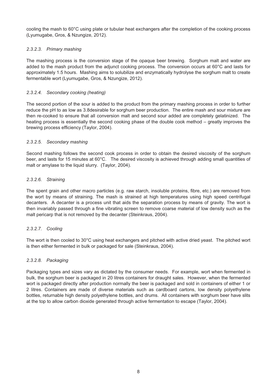cooling the mash to 60°C using plate or tubular heat exchangers after the completion of the cooking process (Lyumugabe, Gros, & Nzungize, 2012).

#### *2.3.2.3. Primary mashing*

The mashing process is the conversion stage of the opaque beer brewing. Sorghum malt and water are added to the mash product from the adjunct cooking process. The conversion occurs at 60°C and lasts for approximately 1.5 hours. Mashing aims to solubilize and enzymatically hydrolyse the sorghum malt to create fermentable wort (Lyumugabe, Gros, & Nzungize, 2012).

#### *2.3.2.4. Secondary cooking (heating)*

The second portion of the sour is added to the product from the primary mashing process in order to further reduce the pH to as low as 3.8desirable for sorghum beer production. The entire mash and sour mixture are then re-cooked to ensure that all conversion malt and second sour added are completely gelatinized. The heating process is essentially the second cooking phase of the double cook method – greatly improves the brewing process efficiency (Taylor, 2004).

#### *2.3.2.5. Secondary mashing*

Second mashing follows the second cook process in order to obtain the desired viscosity of the sorghum beer, and lasts for 15 minutes at 60°C. The desired viscosity is achieved through adding small quantities of malt or amylase to the liquid slurry. (Taylor, 2004).

#### *2.3.2.6. Straining*

The spent grain and other macro particles (e.g. raw starch, insoluble proteins, fibre, etc.) are removed from the wort by means of straining. The mash is strained at high temperatures using high speed centrifugal decanters. A decanter is a process unit that aids the separation process by means of gravity. The wort is then invariably passed through a fine vibrating screen to remove coarse material of low density such as the malt pericarp that is not removed by the decanter (Steinkraus, 2004).

#### *2.3.2.7. Cooling*

The wort is then cooled to 30°C using heat exchangers and pitched with active dried yeast. The pitched wort is then either fermented in bulk or packaged for sale (Steinkraus, 2004).

#### *2.3.2.8. Packaging*

Packaging types and sizes vary as dictated by the consumer needs. For example, wort when fermented in bulk, the sorghum beer is packaged in 20 litres containers for draught sales. However, when the fermented wort is packaged directly after production normally the beer is packaged and sold in containers of either 1 or 2 litres. Containers are made of diverse materials such as cardboard cartons, low density polyethylene bottles, returnable high density polyethylene bottles, and drums. All containers with sorghum beer have slits at the top to allow carbon dioxide generated through active fermentation to escape (Taylor, 2004).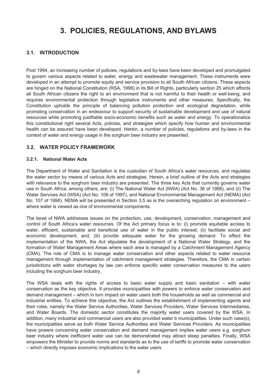### **3. POLICIES, REGULATIONS, AND BYLAWS**

#### **3.1. INTRODUCTION**

Post 1994, an increasing number of policies, regulations and by-laws have been developed and promulgated to govern various aspects related to water, energy and wastewater management. These instruments were developed in an attempt to promote equity and service provision to all South African citizens. These aspects are hinged on the National Constitution (RSA, 1996) in its Bill of Rights, particularly section 25 which affords all South African citizens the right to an environment that is not harmful to their health or well-being, and requires environmental protection through legislative instruments and other measures. Specifically, the Constitution upholds the principle of balancing pollution protection and ecological degradation, while promoting conservation in an endeavour to support security of sustainable development and use of natural resources while promoting justifiable socio-economic benefits such as water and energy. To operationalize this constitutional right several Acts, policies, and strategies which specify how human and environmental health can be assured have been developed. Herein, a number of policies, regulations and by-laws in the context of water and energy usage in the sorghum beer industry are presented.

#### **3.2. WATER POLICY FRAMEWORK**

#### **3.2.1. National Water Acts**

The Department of Water and Sanitation is the custodian of South Africa's water resources, and regulates the water sector by means of various Acts and strategies. Herein, a brief outline of the Acts and strategies with relevance to the sorghum beer industry are presented. The three key Acts that currently governs water use in South Africa, among others, are: (i) The National Water Act (NWA) (Act No. 36 of 1998), and (ii) The Water Services Act (WSA) (Act No. 108 of 1997), and National Environmental Management Act (NEMA) (Act No. 107 of 1998). NEMA will be presented in Section 3.5 as is the overarching regulation on environment – where water is viewed as one of environmental components.

The tenet of NWA addresses issues on the protection, use, development, conservation, management and control of South Africa's water resources. Of the Act primary focus is to: (i) promote equitable access to water, efficient, sustainable and beneficial use of water in the public interest; (ii) facilitate social and economic development, and; (iii) provide adequate water for the growing demand. To effect the implementation of the NWA, the Act stipulates the development of a National Water Strategy, and the formation of Water Management Areas where each area is managed by a Catchment Management Agency (CMA). The role of CMA is to manage water conservation and other aspects related to water resource management through implementation of catchment management strategies. Therefore, the CMA in certain jurisdictions with water shortages by law can enforce specific water conservation measures to the users including the sorghum beer industry.

The WSA deals with the rights of access to basic water supply and basic sanitation – with water conservation as the key objective. It provides municipalities with powers to enforce water conservation and demand management – which in turn impact on water users both the households as well as commercial and industrial entities. To achieve this objective, the Act outlines the establishment of implementing agents and their roles, namely the Water Service Authorities, Water Services Providers, Water Services Intermediaries, and Water Boards. The domestic sector constitutes the majority water users covered by the WSA. In addition, many industrial and commercial users are also provided water b municipalities. Under such case(s), the municipalities serve as both Water Service Authorities and Water Services Providers. As municipalities have powers concerning water conservation and demand management implies water users e.g. sorghum beer industry where inefficient water use can be demonstrated may attract steep penalties. Finally, WSA empowers the Minister to provide norms and standards as to the use of tariffs to promote water conservation – which directly imposes economic implications to the water users.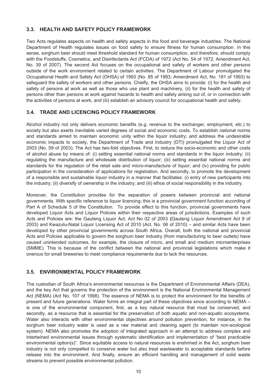#### **3.3. HEALTH AND SAFETY POLICY FRAMEWORK**

Two Acts regulates aspects on health and safety aspects in the food and beverage industries. The National Department of Health regulates issues on food safety to ensure fitness for human consumption. In this sense, sorghum beer should meet threshold standard for human consumption, and therefore, should comply with the Foodstuffs, Cosmetics, and Disinfectants Act (FCDA) of 1972 (Act No. 54 of 1972; Amendment Act, No. 39 of 2007). The second Act focuses on the occupational and safety of workers and other persons outside of the work environment related to certain activities. The Department of Labour promulgated the Occupational Health and Safety Act (OHSA) of 1993 (No. 85 of 1993; Amendment Act, No. 181 of 1993) to safeguard the safety of workers and other persons. Chiefly, the OHSA aims to provide: (i) for the health and safety of persons at work as well as those who use plant and machinery, (ii) for the health and safety of persons other than persons at work against hazards to health and safety arising out of, or in connection with the activities of persons at work, and (iii) establish an advisory council for occupational health and safety.

#### **3.4. TRADE AND LICENCING POLICY FRAMEWORK**

Alcohol industry not only delivers economic benefits (e.g. revenue to the exchanger, employment, etc.) to society but also exerts inevitable varied degrees of social and economic costs. To establish national norms and standards aimed to maintain economic unity within the liquor industry; and address the undesirable economic impacts to society, the Department of Trade and Industry (DTI) promulgated the Liquor Act of 2003 (No. 59 of 2003). The Act has two-fold objectives. First, to reduce the socio-economic and other costs of alcohol abuse by means of: (i) setting essential national norms and standards in the liquor industry; (ii) regulating the manufacture and wholesale distribution of liquor; (iii) setting essential national norms and standards for the regulation of the retail sale and micro-manufacture of liquor; and (iv) providing for public participation in the consideration of applications for registration. And secondly, to promote the development of a responsible and sustainable liquor industry in a manner that facilitates: (i) entry of new participants into the industry; (ii) diversify of ownership in the industry; and (iii) ethos of social responsibility in the industry.

Moreover, the Constitution provides for the separation of powers between provincial and national governments. With specific reference to liquor licencing; this is a provincial government function according of Part A of Schedule 5 of the Constitution. To provide effect to this function, provincial governments have developed Liquor Acts and Liquor Policies within their respective areas of jurisdictions. Examples of such Acts and Policies are: the Gauteng Liquor Act, Act No 02 of 2003 **(**Gauteng Liquor Amendment Act 9 of 2003) and Kwazulu-Natal Liquor Licensing Act of 2010 (Act. No. 06 of 2010) – and similar Acts have been developed by other provincial governments across South Africa. Overall, both the national and provincial Acts and Policies applicable to govern the sorghum beer industry (from manufacturing to beer outlets) have caused unintended outcomes, for example, the closure of micro, and small and medium microenterprises (SMME). This is because of the conflict between the national and provincial legislations which make it onerous for small breweries to meet compliance requirements due to lack the resources.

#### **3.5. ENVIRONMENTAL POLICY FRAMEWORK**

The custodian of South Africa's environmental resources is the Department of Environmental Affairs (DEA), and the key Act that governs the protection of the environment is the National Environmental Management Act (NEMA) (Act No. 107 of 1998). The essence of NEMA is to protect the environment for the benefits of present and future generations. Water forms an integral part of these objectives since according to NEMA – is one of the environmental component, first, as a key natural resource that must be conserved, and secondly, as a resource that is essential for the preservation of both aquatic and non-aquatic ecosystems. Water also interacts with other environmental objectives around pollution prevention, for instance, in the sorghum beer industry water is used as a raw material and cleaning agent (to maintain non-ecological system). NEMA also promotes the adoption of integrated approach in an attempt to address complex and intertwined environmental issues through systematic identification and implementation of "best practicable environmental option(s)". Since equitable access to natural resources is enshrined in the Act, sorghum beer industry is not only compelled to conserve water but also treat wastewater to acceptable standards before release into the environment. And finally, ensure an efficient handling and management of solid waste streams to prevent possible environmental pollution.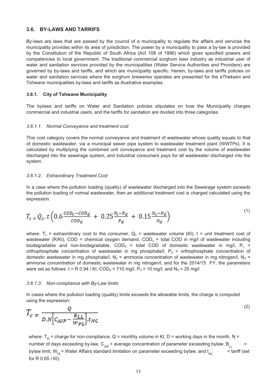#### **3.6. BY-LAWS AND TARRIFS**

By-laws are laws that are passed by the council of a municipality to regulate the affairs and services the municipality provides within its area of jurisdiction. The power by a municipality to pass a by-law is provided by the Constitution of the Republic of South Africa (Act 108 of 1996) which gives specified powers and competencies to local government. The traditional commercial sorghum beer industry as industrial user of water and sanitation services provided by the municipalities (Water Service Authorities and Providers) are governed by by-laws and tariffs, and which are municipality specific. Herein, by-laws and tariffs policies on water and sanitation services where the sorghum breweries operates are presented for the eThekwini and Tshwane municipalities by-laws and tariffs as illustrative examples.

#### **3.6.1. City of Tshwane Municipality**

The bylaws and tariffs on Water and Sanitation policies stipulates on how the Municipality charges commercial and industrial users, and the tariffs for sanitation are divided into three categories.

#### *3.6.1.1. Normal Conveyance and treatment cost*

This cost category covers the normal conveyance and treatment of wastewater whose quality equals to that of domestic wastewater, via a municipal sewer pipe system to wastewater treatment plant (WWTPs). It is calculated by multiplying the combined unit conveyance and treatment cost by the volume of wastewater discharged into the sewerage system, and industrial consumers pays for all wastewater discharged into the system.

#### *3.6.1.2. Extraordinary Treatment Cost*

In a case where the pollution loading (quality) of wastewater discharged into the Sewerage system exceeds the pollution loading of normal wastewater, then an additional treatment cost is charged calculated using the expression:

$$
T_c = Q_c \cdot t \left( 0.6 \frac{co_{c} - co_{d}}{co_{d}} + 0.25 \frac{P_c - P_d}{P_d} + 0.15 \frac{N_c - N_d}{N_d} \right) \tag{1}
$$

where:  $T_c$  = extraordinary cost to the consumer,  $Q_c$  = wastewater volume (KI), t = unit treatment cost of wastewater (R/KI), COD = chemical oxygen demand,  $COD<sub>c</sub>$  = total COD in mg/l of wastewater including biodegradable and non-biodegradable,  $COD<sub>d</sub>$  = total COD of domestic wastewater in mg/l, P<sub>c</sub> = orthophosphate concentration of wastewater in mg phosphate/l,  $P_d$  = orthophosphate concentration of domestic wastewater in mg phosphate/l,  $N_c$  = ammonia concentration of wastewater in mg nitrogen/l,  $N_d$  = ammonia concentration of domestic wastewater in mg nitrogen/l, and for the 2014/15 FY, the parameters were set as follows:  $t = R 0.94 / Kl$ ,  $COD<sub>d</sub> = 710$  mg/l,  $P<sub>d</sub> = 10$  mg/l, and  $N<sub>d</sub> = 25$  mg/l

#### *3.6.1.3. Non-compliance with By-Law limits*

In cases where the pollution loading (quality) limits exceeds the allowable limits, the charge is computed using the expression:

$$
T_c = \frac{Q}{D.N \left[ C_{AIP} - \frac{B_{LL}}{W_{PL}} \right], t_{NC}}
$$
\n<sup>(2)</sup>

where:  $T_c$  = charge for non-compliance, Q = monthly volume in KI, D = working days in the month, N = number of days exceeding by-law,  $C_{\text{app}}$  = average concentration of parameter exceeding bylaw, B<sub>LL</sub> = bylaw limit, W<sub>pl</sub> = Water Affairs standard limitation on parameter exceeding bylaw, and t<sub>NC</sub> = tariff (set for R 0.65 / Kl).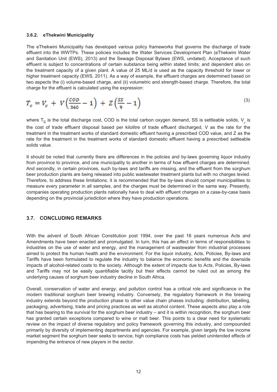#### **3.6.2. eThekwini Municipality**

The eThekwini Municipality has developed various policy frameworks that governs the discharge of trade effluent into the WWTPs. These policies includes the Water Services Development Plan (eThekwini Water and Sanitation Unit (EWS), 2013) and the Sewage Disposal Bylaws (EWS, undated). Acceptance of such effluent is subject to concentrations of certain substance being within stated limits; and dependent also on the treatment capacity of a given plant. A value of 25 ML/d is used as the capacity threshold for lower or higher treatment capacity (EWS, 2011). As a way of example, the effluent charges are determined based on two aspects the (i) volume-based charge, and (ii) volumetric and strength-based charge. Therefore, the total charge for the effluent is calculated using the expression:

$$
T_c = V_c + V \left(\frac{coD}{360} - 1\right) + Z \left(\frac{SS}{9} - 1\right) \tag{3}
$$

where  $T_c$  is the total discharge cost, COD is the total carbon oxygen demand, SS is settleable solids,  $V_c$  is the cost of trade effluent disposal based per kilolitre of trade effluent discharged, V as the rate for the treatment in the treatment works of standard domestic effluent having a prescribed COD value, and Z as the rate for the treatment in the treatment works of standard domestic effluent having a prescribed settleable solids value.

It should be noted that currently there are differences in the policies and by-laws governing liquor industry from province to province, and one municipality to another in terms of how effluent charges are determined. And secondly, in certain provinces, such by-laws and tariffs are missing, and the effluent from the sorghum beer production plants are being released into public wastewater treatment plants but with no charges levied. Therefore, to address these limitations, it is recommended that the by-laws should compel municipalities to measure every parameter in all samples, and the charges must be determined in the same way. Presently, companies operating production plants nationally have to deal with effluent charges on a case-by-case basis depending on the provincial jurisdiction where they have production operations.

#### **3.7. CONCLUDING REMARKS**

With the advent of South African Constitution post 1994, over the past 16 years numerous Acts and Amendments have been enacted and promulgated. In turn, this has an effect in terms of responsibilities to industries on the use of water and energy, and the management of wastewater from industrial processes aimed to protect the human health and the environment. For the liquor industry, Acts, Policies, By-laws and Tariffs have been formulated to regulate the industry to balance the economic benefits and the downside impacts of alcohol-related costs to the society. Although the extent of impacts due to Acts, Policies, By-laws and Tariffs may not be easily quantifiable tacitly but their effects cannot be ruled out as among the underlying causes of sorghum beer industry decline in South Africa.

Overall, conservation of water and energy; and pollution control has a critical role and significance in the modern traditional sorghum beer brewing industry. Conversely, the regulatory framework in the brewing industry extends beyond the production phase to other value chain phases including: distribution, labelling, packaging, advertising, trade and pricing practices as well as alcohol content. These aspects also play a role that has bearing to the survival for the sorghum beer industry – and it is within recognition, the sorghum beer has granted certain exceptions compared to wine or malt beer. This points to a clear need for systematic review on the impact of diverse regulatory and policy framework governing this industry, and compounded primarily by diversity of implementing departments and agencies. For example, given largely the low income market segment the sorghum beer seeks to service, high compliance costs has yielded unintended effects of impending the entrance of new players in the sector.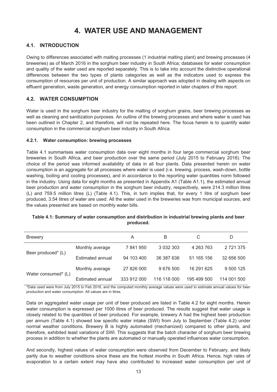### **4. WATER USE AND MANAGEMENT**

#### **4.1. INTRODUCTION**

Owing to differences associated with malting processes (1 industrial malting plant) and brewing processes (4 breweries) as of March 2016 in the sorghum beer industry in South Africa; databases for water consumption and quality of the water used are reported separately. This is to take into account the distinctive operational differences between the two types of plants categories as well as the indicators used to express the consumption of resources per unit of production. A similar approach was adopted in dealing with aspects on effluent generation, waste generation, and energy consumption reported in later chapters of this report.

#### **4.2. WATER CONSUMPTION**

Water is used in the sorghum beer industry for the malting of sorghum grains, beer brewing processes as well as cleaning and sanitization purposes. An outline of the brewing processes and where water is used has been outlined in Chapter 2, and therefore, will not be repeated here. The focus herein is to quantify water consumption in the commercial sorghum beer industry in South Africa.

#### **4.2.1. Water consumption: brewing processes**

Table 4.1 summarises water consumption data over eight months in four large commercial sorghum beer breweries in South Africa, and beer production over the same period (July 2015 to February 2016). The choice of the period was informed availability of data in all four plants. Data presented herein on water consumption is an aggregate for all processes where water is used (i.e. brewing, process, wash-down, bottle washing, boiling and cooling processes), and in accordance to the reporting water quantities norm followed in the industry. Using data for eight months as presented in Appendix A1 (Table A1.1), the estimated annual beer production and water consumption in the sorghum beer industry, respectively, were 214.3 million litres (L) and 759.5 million litres (L) (Table 4.1). This, in turn implies that, for every 1 litre of sorghum beer produced, 3.54 litres of water are used. All the water used in the breweries was from municipal sources, and the values presented are based on monthly water bills.

#### **Table 4.1: Summary of water consumption and distribution in industrial brewing plants and beer produced.**

| <b>Brewery</b>      |                  | A           | B             | С           |               |
|---------------------|------------------|-------------|---------------|-------------|---------------|
|                     | Monthly average  | 7841950     | 3 0 3 2 3 0 3 | 4 263 763   | 2 7 2 1 3 7 5 |
| Beer produced* (L)  | Estimated annual | 94 103 400  | 36 387 636    | 51 165 156  | 32 656 500    |
|                     | Monthly average  | 27 826 000  | 9 676 500     | 16 291 625  | 9 500 125     |
| Water consumed* (L) | Estimated annual | 333 912 000 | 116 118 000   | 195 499 500 | 114 001 500   |

\*Data used were from July 2015 to Feb 2016, and the computed monthly average values were used to estimate annual values for beer production and water consumption. All values are in litres.

Data on aggregated water usage per unit of beer produced are listed in Table 4.2 for eight months. Herein water consumption is expressed per 1000 litres of beer produced. The results suggest that water usage is closely related to the quantities of beer produced. For example, brewery A had the highest beer production per annum (Table 4.1) showed low specific water intake (SWI) from July to September (Table 4.2) under normal weather conditions. Brewery B is highly automated (mechanized) compared to other plants, and therefore, exhibited least variations of SWI. This suggests that the batch character of sorghum beer brewing process in addition to whether the plants are automated or manually operated influences water consumption.

And secondly, highest values of water consumption were observed from December to February, and likely partly due to weather conditions since these are the hottest months in South Africa. Hence, high rates of evaporation to a certain extent may have also contributed to increased water consumption per unit of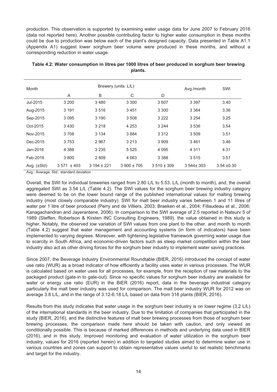production. This observation is supported by examining water usage data for June 2007 to February 2016 (data not reported here). Another possible contributing factor to higher water consumption in these months could be due to production was below each of the plant's designed capacity. Data presented in Table A1.1 (Appendix A1) suggest lower sorghum beer volume were produced in these months, and without a corresponding reduction in water usage.

| Month            |                 | Brewery (units: L/L) | Avg./month     | SWI             |                 |                 |
|------------------|-----------------|----------------------|----------------|-----------------|-----------------|-----------------|
|                  | A               | B                    | C              | D               |                 |                 |
| Jul-2015         | 3 200           | 3480                 | 3 3 0 0        | 3607            | 3 3 9 7         | 3.40            |
| Aug-2015         | 3 1 9 1         | 3516                 | 3451           | 3 3 0 0         | 3 3 6 4         | 3.36            |
| Sep-2015         | 3 0 9 5         | 3 1 9 0              | 3508           | 3 2 2 2         | 3 2 5 4         | 3.25            |
| Oct-2015         | 3 4 3 0         | 3 2 1 8              | 4 2 5 3        | 3 2 4 4         | 3 5 3 6         | 3.54            |
| Nov-2015         | 3 7 0 8         | 3 1 3 4              | 3884           | 3 3 1 2         | 3509            | 3.51            |
| Dec-2015         | 3753            | 2967                 | 3 2 1 3        | 3 9 0 9         | 3461            | 3.46            |
| Jan-2016         | 4 3 8 8         | 3 2 3 5              | 5 5 2 5        | 4 0 9 5         | 4 3 1 1         | 4.31            |
| Feb-2016         | 3800            | 2809                 | 4 0 6 3        | 3 3 8 8         | 3515            | 3.51            |
| Avg. $(\pm Std)$ | $3.571 \pm 403$ | $3194 \pm 221$       | $3900 \pm 705$ | $3.510 \pm 309$ | $3.544 \pm 303$ | $3.54 \pm 0.30$ |

#### **Table 4.2: Water consumption in litres per 1000 litres of beer produced in sorghum beer brewing plants.**

Avg.: Average, Std.: standard deviation

Overall, the SWI for individual breweries ranged from 2.80 L/L to 5.53. L/L (month to month), and, the overall aggregated SWI as 3.54 L/L (Table 4.2). The SWI values for the sorghum beer brewing industry category were deemed to be on the lower bound range of the published international values for malting brewing industry (most closely comparable industry). SWI for malt beer industry varies between 1 and 11 litres of water per 1 litre of beer produced (Perry and de Villiers, 2003; Braeken et al., 2004; Fillaudeau et al., 2006; Kanagachandran and Jayerantene, 2006). In comparison to the SWI average of 2.5 reported in Natsurv 5 of 1989 (Steffen, Robertson & Kirsten INC Consulting Engineers, 1989), the value obtained in this study is higher. Notably, the observed low variation of SWI values from one plant to the other, and month to month (Table 4.2) suggest that water management and accounting systems (in form of indicators) have been implemented to varying degrees. Moreover, with tightening legislative framework governing water usage due to scarcity in South Africa, and economic-driven factors such as steep market competition within the beer industry also act as other driving forces for the sorghum beer industry to implement water saving practices.

Since 2007, the Beverage Industry Environmental Roundtable (BIER, 2016) introduced the concept of water use ratio (WUR) as a broad indicator of how efficiently a facility uses water in various processes. The WUR is calculated based on water uses for all processes, for example, from the reception of raw materials to the packaged product (gate-in to gate-out). Since no specific values for sorghum beer industry are available for water or energy use ratio (EUR) in the BIER (2016) report, data in the beverage industrial category particularly the malt beer industry was used for comparison. The malt beer industry WUR for 2012 was on average 3.8 L/L, and in the range of 3.12-6.18 L/L based on data from 318 plants (BIER, 2016).

Results from this study indicates that water usage in the sorghum beer industry is on lower regime (3.2 L/L) of the international standards in the beer industry. Due to the limitation of companies that participated in the study (BIER, 2016), and the distinctive features of malt beer brewing processes from those of sorghum beer brewing processes, the comparison made here should be taken with caution, and only viewed as conditionally possible. This is because of marked differences in methods and underlying data used in BIER (2016), and in this study. Improved monitoring and evaluation of water utilization in the sorghum beer industry, values for 2016 (reported herein) in addition to targeted studies aimed to determine water use in various countries and zones can support to obtain representative values useful to set realistic benchmarks and target for the industry.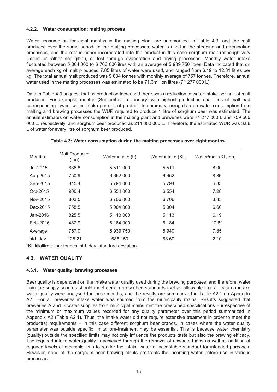#### **4.2.2. Water consumption: malting process**

Water consumption for eight months in the malting plant are summarized in Table 4.3, and the malt produced over the same period. In the malting processes, water is used in the steeping and germination processes, and the rest is either incorporated into the product in this case sorghum malt (although very limited or rather negligible), or lost through evaporation and drying processes. Monthly water intake fluctuated between 5 004 000 to 6 706 000litres with an average of 5 939 750 litres. Data indicated that on average each kg of malt produced 7.85 litres of water were used, and ranged from 6.19 to 12.81 litres per kg. The total annual malt produced was 9 084 tonnes with monthly average of 757 tonnes. Therefore, annual water used in the malting processes was estimated to be 71.3million litres (71 277 000 L).

Data in Table 4.3 suggest that as production increased there was a reduction in water intake per unit of malt produced. For example, months (September to January) with highest production quantities of malt had corresponding lowest water intake per unit of product. In summary, using data on water consumption from malting and brewing processes the WUR required to produce 1 litre of sorghum beer was estimated. The annual estimates on water consumption in the malting plant and breweries were 71 277 000 L and 759 500 000 L, respectively, and sorghum beer produced as 214 300 000 L. Therefore, the estimated WUR was 3.88 L of water for every litre of sorghum beer produced.

| <b>Months</b> | Malt Produced<br>(ton) | Water intake (L) | Water intake (KL) | Water/malt (KL/ton) |
|---------------|------------------------|------------------|-------------------|---------------------|
| Jul-2015      | 688.8                  | 5 511 000        | 5511              | 8.00                |
| Aug-2015      | 750.9                  | 6 652 000        | 6652              | 8.86                |
| Sep-2015      | 845.4                  | 5 794 000        | 5 7 9 4           | 6.85                |
| Oct-2015      | 900.4                  | 6 554 000        | 6 5 5 4           | 7.28                |
| Nov-2015      | 803.5                  | 6 706 000        | 6706              | 8.35                |
| Dec-2015      | 758.5                  | 5 004 000        | 5 0 0 4           | 6.60                |
| Jan-2016      | 825.5                  | 5 113 000        | 5 1 1 3           | 6.19                |
| Feb-2016      | 482.9                  | 6 184 000        | 6 184             | 12.81               |
| Average       | 757.0                  | 5939750          | 5940              | 7.85                |
| std. dev      | 128.21                 | 686 150          | 68.60             | 2.10                |

**Table 4.3: Water consumption during the malting processes over eight months.** 

\*Kl: kilolitres; ton: tonnes, std. dev: standard deviation

#### **4.3. WATER QUALITY**

#### **4.3.1. Water quality: brewing processes**

Beer quality is dependent on the intake water quality used during the brewing purposes, and therefore, water from the supply sources should meet certain prescribed standards (set as allowable limits). Data on intake water quality were analysed for three months, and the results are summarized in Table A2.1 (in Appendix A2). For all breweries intake water was sourced from the municipality mains. Results suggested that breweries A and B water supplies from municipal mains met the prescribed specifications – irrespective of the minimum or maximum values recorded for any quality parameter over this period summarized in Appendix A2 (Table A2.1). Thus, the intake water did not require extensive treatment in order to meet the product(s) requirements – in this case different sorghum beer brands. In cases where the water quality parameter was outside specific limits, pre-treatment may be essential. This is because water chemistry (quality) outside the specified limits may not only influence the products taste but also the brewing efficacy. The required intake water quality is achieved through the removal of unwanted ions as well as addition of required levels of desirable ions to render the intake water of acceptable standard for intended purposes. However, none of the sorghum beer brewing plants pre-treats the incoming water before use in various processes.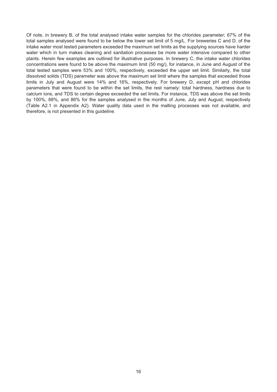Of note, in brewery B, of the total analysed intake water samples for the chlorides parameter; 67% of the total samples analysed were found to be below the lower set limit of 5 mg/L. For breweries C and D, of the intake water most tested parameters exceeded the maximum set limits as the supplying sources have harder water which in turn makes cleaning and sanitation processes be more water intensive compared to other plants. Herein few examples are outlined for illustrative purposes. In brewery C, the intake water chlorides concentrations were found to be above the maximum limit (50 mg/), for instance, in June and August of the total tested samples were 53% and 100%, respectively, exceeded the upper set limit. Similarly, the total dissolved solids (TDS) parameter was above the maximum set limit where the samples that exceeded those limits in July and August were 14% and 16%, respectively. For brewery D, except pH and chlorides parameters that were found to be within the set limits, the rest namely: total hardness, hardness due to calcium ions, and TDS to certain degree exceeded the set limits. For instance, TDS was above the set limits by 100%, 88%, and 86% for the samples analysed in the months of June, July and August, respectively (Table A2.1 in Appendix A2). Water quality data used in the malting processes was not available, and therefore, is not presented in this guideline.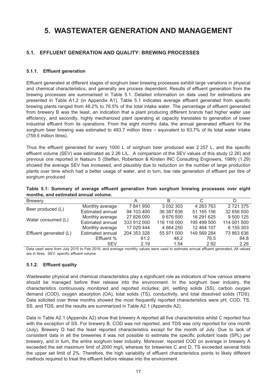### **5. WASTEWATER GENERATION AND MANAGEMENT**

#### **5.1. EFFLUENT GENERATION AND QUALITY: BREWING PROCESSES**

#### **5.1.1. Effluent generation**

Effluent generated at different stages of sorghum beer brewing processes exhibit large variations in physical and chemical characteristics, and generally are process dependent. Results of effluent generation from the brewing processes are summarised in Table 5.1. Detailed information on data used for estimations are presented in Table A1.2 (in Appendix A1). Table 5.1 indicates average effluent generated from specific brewing plants ranged from 48.2% to 76.5% of the total intake water. The percentage of effluent generated from brewery B was the least, an indication that a plant producing different brands had higher water use efficiency, and secondly, highly mechanized plant operating at capacity translates to generation of lower industrial effluent from its operations. From the eight months data, the annual generated effluent for the sorghum beer brewing was estimated to 483.7 million litres – equivalent to 63.7% of its total water intake (759.5 million litres).

Thus the effluent generated for every 1000 L of sorghum beer produced was 2 257 L, and the specific effluent volume (SEV) was estimated as 2.26 L/L. A comparison of the SEV values of this study (2.26) and previous one reported in Natsurv 5 (Steffen, Robertson & Kirsten INC Consulting Engineers, 1989) (1.29) showed the average SEV has increased, and plausibly due to reduction on the number of large production plants over time which had a better usage of water, and in turn, low rate generation of effluent per litre of sorghum produced

| <b>Brewery</b>         |                  | А           | в             | С           |               |
|------------------------|------------------|-------------|---------------|-------------|---------------|
|                        | Monthly average  | 7841950     | 3 0 3 2 3 0 3 | 4 263 763   | 2 7 2 1 3 7 5 |
| Beer produced (L)      | Estimated annual | 94 103 400  | 36 387 636    | 51 165 156  | 32 656 500    |
|                        | Monthly average  | 27 826 000  | 9 676 500     | 16 291 625  | 9 500 125     |
| Water consumed (L)     | Estimated annual | 333 912 000 | 116 118 000   | 195 499 500 | 114 001 500   |
|                        | Monthly average  | 17 029 444  | 4 664 250     | 12 464 107  | 6 155 303     |
| Effluent generated (L) | Estimated annual | 204 353 328 | 55 971 000    | 149 569 284 | 73 863 636    |
|                        | Effluent %       | 61.2        | 48.2          | 76.5        | 64.8          |
|                        | <b>SEV</b>       | 2.19        | 1.54          | 2.92        | 2.26          |

**Table 5.1: Summary of average effluent generation from sorghum brewing processes over eight months, and estimated annual volume.** 

Data used were from July 2015 to Feb 2016, and average monthly values were used to estimate annual effluent generated. All values are in litres. SEV: specific effluent volume

#### **5.1.2. Effluent quality**

Wastewater physical and chemical characteristics play a significant role as indicators of how various streams should be managed before their release into the environment. In the sorghum beer industry, the characteristics continuously monitored and reported includes; pH, settling solids (SS), carbon oxygen demand (COD), oxygen absorption (OA), total solids (TS), conductivity, and total dissolved solids (TDS). Data solicited over three months showed the most frequently reported characteristics were pH, COD, TS, SS, and TDS, and the results are summarized in Table A2.1 (Appendix A2).

Data in Table A2.1 (Appendix A2) show that brewery A reported all five characteristics whilst C reported four with the exception of SS. For brewery B, COD was not reported, and TDS was only reported for one month (July). Brewery D had the least reported characteristics except for the month of July. Due to lack of consistent data in all the breweries it was not possible to estimate the specific pollutant loads (SPL) per brewery, and in turn, the entire sorghum beer industry. Moreover, reported COD on average in brewery A exceeded the set maximum limit of 2000 mg/L whereas for breweries C and D, TS exceeded several folds the upper set limit of 2%. Therefore, the high variability of effluent characteristics points to likely different methods required to treat the effluent before release into the environment.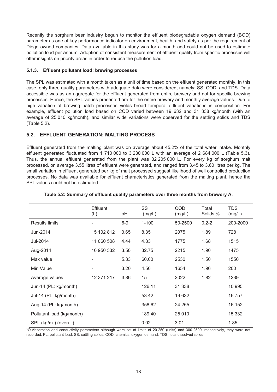Recently the sorghum beer industry begun to monitor the effluent biodegradable oxygen demand (BOD) parameter as one of key performance indicator on environment, health, and safety as per the requirement of Diego owned companies. Data available in this study was for a month and could not be used to estimate pollution load per annum. Adoption of consistent measurement of effluent quality from specific processes will offer insights on priority areas in order to reduce the pollution load.

#### **5.1.3. Effluent pollutant load: brewing processes**

The SPL was estimated with a month taken as a unit of time based on the effluent generated monthly. In this case, only three quality parameters with adequate data were considered, namely: SS, COD, and TDS. Data accessible was as an aggregate for the effluent generated from entire brewery and not for specific brewing processes. Hence, the SPL values presented are for the entire brewery and monthly average values. Due to high variation of brewing batch processes yields broad temporal effluent variations in composition. For example, effluent pollution load based on COD varied between 19 632 and 31 338 kg/month (with an average of 25 010 kg/month), and similar wide variations were observed for the settling solids and TDS (Table 5.2).

#### **5.2. EFFLUENT GENERATION: MALTING PROCESS**

Effluent generated from the malting plant was on average about 45.2% of the total water intake. Monthly effluent generated fluctuated from 1 710 000 to 3 230 000 L with an average of 2 684 000 L (Table 5.3). Thus, the annual effluent generated from the plant was 32 205 000 L. For every kg of sorghum malt processed, on average 3.55 litres of effluent were generated, and ranged from 3.45 to 3.60 litres per kg. The small variation in effluent generated per kg of malt processed suggest likelihood of well controlled production processes. No data was available for effluent characteristics generated from the malting plant, hence the SPL values could not be estimated.

|                           | <b>Effluent</b><br>(L)   | pH    | SS<br>(mg/L) | COD<br>(mg/L) | Total<br>Solids % | <b>TDS</b><br>(mg/L) |
|---------------------------|--------------------------|-------|--------------|---------------|-------------------|----------------------|
| <b>Results limits</b>     | $\overline{\phantom{a}}$ | $6-9$ | $1 - 100$    | 50-2500       | $0.2 - 2$         | 200-2000             |
| Jun-2014                  | 15 102 812               | 3.65  | 8.35         | 2075          | 1.89              | 728                  |
| Jul-2014                  | 11 060 508               | 4.44  | 4.83         | 1775          | 1.68              | 1515                 |
| Aug-2014                  | 10 950 332               | 3.50  | 32.75        | 2215          | 1.90              | 1475                 |
| Max value                 |                          | 5.33  | 60.00        | 2530          | 1.50              | 1550                 |
| Min Value                 |                          | 3.20  | 4.50         | 1654          | 1.96              | 200                  |
| Average values            | 12 371 217               | 3.86  | 15           | 2022          | 1.82              | 1239                 |
| Jun-14 (PL: kg/month)     |                          |       | 126.11       | 31 338        |                   | 10 995               |
| Jul-14 (PL: kg/month)     |                          |       | 53.42        | 19 632        |                   | 16757                |
| Aug-14 (PL: kg/month)     |                          |       | 358.62       | 24 255        |                   | 16 152               |
| Pollutant load (kg/month) |                          |       | 189.40       | 25 010        |                   | 15 3 32              |
| $SPL (kg/m3)$ (overall)   |                          |       | 0.02         | 3.01          |                   | 1.85                 |

#### **Table 5.2: Summary of effluent quality parameters over three months from brewery A.**

\*O-Absorption and conductivity parameters although were set at limits of 20-250 (units) and 300-2500, respectively, they were not recorded. PL: pollutant load, SS: settling solids, COD: chemical oxygen demand, TDS: total dissolved solids.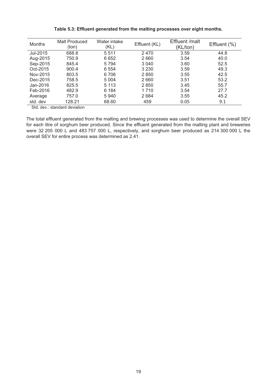| <b>Months</b> | Malt Produced<br>(ton) | Water intake<br>(KL) | Effluent (KL) | Effluent /malt<br>(KL/ton) | Effluent $(\% )$ |
|---------------|------------------------|----------------------|---------------|----------------------------|------------------|
| Jul-2015      | 688.8                  | 5511                 | 2470          | 3.59                       | 44.8             |
| Aug-2015      | 750.9                  | 6652                 | 2660          | 3.54                       | 40.0             |
| Sep-2015      | 845.4                  | 5794                 | 3 0 4 0       | 3.60                       | 52.5             |
| Oct-2015      | 900.4                  | 6 5 5 4              | 3 2 3 0       | 3.59                       | 49.3             |
| Nov-2015      | 803.5                  | 6706                 | 2850          | 3.55                       | 42.5             |
| Dec-2015      | 758.5                  | 5 0 0 4              | 2660          | 3.51                       | 53.2             |
| Jan-2016      | 825.5                  | 5 1 1 3              | 2850          | 3.45                       | 55.7             |
| Feb-2016      | 482.9                  | 6 184                | 1710          | 3.54                       | 27.7             |
| Average       | 757.0                  | 5940                 | 2684          | 3.55                       | 45.2             |
| std. dev      | 128.21                 | 68.60                | 459           | 0.05                       | 9.1              |

#### **Table 5.3: Effluent generated from the malting processes over eight months.**

Std. dev.: standard deviation

The total effluent generated from the malting and brewing processes was used to determine the overall SEV for each litre of sorghum beer produced. Since the effluent generated from the malting plant and breweries were 32 205 000 L and 483 757 000 L, respectively, and sorghum beer produced as 214 300 000 L the overall SEV for entire process was determined as 2.41.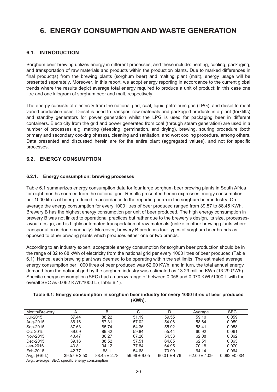### **6. ENERGY CONSUMPTION AND WASTE GENERATION**

#### **6.1. INTRODUCTION**

Sorghum beer brewing utilizes energy in different processes, and these include: heating, cooling, packaging, and transportation of raw materials and products within the production plants. Due to marked differences in final product(s) from the brewing plants (sorghum beer) and malting plant (malt), energy usage will be presented separately. Moreover, in this report, we adopt energy reporting in accordance to the current global trends where the results depict average total energy required to produce a unit of product; in this case one litre and one kilogram of sorghum beer and malt, respectively.

The energy consists of electricity from the national grid, coal, liquid petroleum gas (LPG), and diesel to meet varied production uses. Diesel is used to transport raw materials and packaged products in a plant (forklifts) and standby generators for power generation whilst the LPG is used for packaging beer in different containers. Electricity from the grid and power generated from coal (through steam generation) are used in a number of processes e.g. malting (steeping, germination, and drying), brewing, souring procedure (both primary and secondary cooking phases), cleaning and sanitation, and wort cooling procedure, among others. Data presented and discussed herein are for the entire plant (aggregated values), and not for specific processes.

#### **6.2. ENERGY CONSUMPTION**

#### **6.2.1. Energy consumption: brewing processes**

Table 6.1 summarizes energy consumption data for four large sorghum beer brewing plants in South Africa for eight months sourced from the national grid. Results presented herein expresses energy consumption per 1000 litres of beer produced in accordance to the reporting norm in the sorghum beer industry. On average the energy consumption for every 1000 litres of beer produced ranged from 39.57 to 88.45 KWh. Brewery B has the highest energy consumption per unit of beer produced. The high energy consumption in brewery B was not linked to operational practices but rather due to the brewery's design, its size, processeslayout design, and is highly automated transportation of raw materials (unlike in other brewing plants where transportation is done manually). Moreover, brewery B produces four types of sorghum beer brands as opposed to other brewing plants which produces either one or two brands.

According to an industry expert, acceptable energy consumption for sorghum beer production should be in the range of 32 to 88 kWh of electricity from the national grid per every 1000 litres of beer produced (Table 6.1). Hence, each brewing plant was deemed to be operating within the set limits. The estimated average energy consumption per 1000 litres of beer produced was 62.00 KWh, and in turn, the total annual energy demand from the national grid by the sorghum industry was estimated as 13.29 million KWh (13.29 GWh). Specific energy consumption (SEC) had a narrow range of between 0.058 and 0.070 KWh/1000 L with the overall SEC as 0.062 KWh/1000 L (Table 6.1).

#### **Table 6.1: Energy consumption in sorghum beer industry for every 1000 litres of beer produced (KWh).**

| Month/Brewery |                  | в                | С                | D                | Average          | <b>SEC</b>      |
|---------------|------------------|------------------|------------------|------------------|------------------|-----------------|
| Jul-2015      | 37.44            | 88.22            | 51.19            | 59.55            | 59.10            | 0.059           |
|               |                  |                  |                  |                  |                  |                 |
| Aug-2015      | 36.16            | 87.31            | 57.02            | 54.06            | 58.64            | 0.059           |
| Sep-2015      | 37.63            | 85.74            | 54.36            | 55.92            | 58.41            | 0.058           |
| Oct-2015      | 39.09            | 89.32            | 59.84            | 55.44            | 60.92            | 0.061           |
| Nov-2015      | 40.47            | 86.27            | 67.26            | 54.33            | 62.08            | 0.062           |
| Dec-2015      | 39.16            | 88.52            | 57.51            | 64.85            | 62.51            | 0.063           |
| Jan-2016      | 43.81            | 94.12            | 77.84            | 64.95            | 70.18            | 0.070           |
| Feb-2016      | 42.77            | 88.1             | 54.68            | 70.99            | 64.14            | 0.064           |
| Avg. (±Std.)  | $39.57 \pm 2.50$ | $88.45 \pm 2.78$ | $59.96 \pm 9.05$ | $60.01 \pm 4.76$ | $62.00 \pm 4.09$ | $0.062 + 0.004$ |

Avg.: average; SEC: specific energy consumption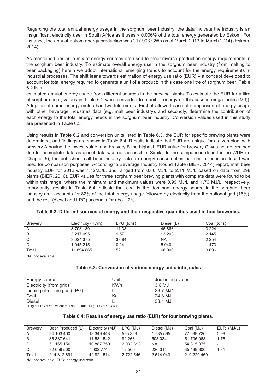Regarding the total annual energy usage in the sorghum beer industry; the data indicate the industry is an insignificant electricity user in South Africa as it uses < 0.006% of the total energy generated by Eskom. For instance, the annual Eskom energy production was 217 903 GWh as of March 2013 to March 2014) (Eskom, 2014).

As mentioned earlier, a mix of energy sources are used to meet diverse production energy requirements in the sorghum beer industry. To estimate overall energy use in the sorghum beer industry (from malting to beer packaging) herein we adopt international emerging trends to account for the energy requirements in industrial processes. The shift leans towards estimation of energy use ratio (EUR) – a concept developed to account for total energy required to generate a unit of a product; in this case one litre of sorghum beer. Table 6.2 lists

estimated annual energy usage from different sources in the brewing plants. To estimate the EUR for a litre of sorghum beer, values in Table 6.2 were converted to a unit of energy (in this case in mega joules (MJ)). Adoption of same energy metric had two-fold merits. First, it allowed ease of comparison of energy usage with other beverage industries data (e.g. malt beer industry), and secondly, determine the contribution of each energy to the total energy needs in the sorghum beer industry. Conversion values used in this study are presented in Table 6.3.

Using results in Table 6.2 and conversion units listed in Table 6.3, the EUR for specific brewing plants were determined, and findings are shown in Table 6.4. Results indicate that EUR are unique for a given plant with brewery A having the lowest value, and brewery B the highest. EUR value for brewery C was not determined due to incomplete data as diesel data was not accessible. Similar to the comparison done for the WUR (in Chapter 5), the published malt beer industry data on energy consumption per unit of beer produced was used for comparison purposes. According to Beverage Industry Round Table (BIER, 2014) report, malt beer industry EUR for 2012 was 1.12MJ/L, and ranged from 0.80 MJ/L to 2.11 MJ/L based on data from 298 plants (BIER, 2016). EUR values for three sorghum beer brewing plants with complete data were found to be within this range; where the minimum and maximum values were 0.99 MJ/L and 1.76 MJ/L, respectively. Importantly, results in Table 6.4 indicate that coal is the dominant energy source in the sorghum beer industry as it accounts for 82% of the total energy usage followed by electricity from the national grid (16%), and the rest (diesel and LPG) accounts for about 2%.

| <b>Brewery</b> | Electricity (KWh) | LPG (tons) | Diesel (L) | Coal (tons) |
|----------------|-------------------|------------|------------|-------------|
| A              | 3708180           | 11.38      | 46 866     | 3 2 2 4     |
| B              | 3 217 095         | 1.57       | 13 203     | 2 1 4 5     |
| С              | 3 0 24 3 75       | 38.84      | <b>NA</b>  | 2 2 5 4     |
| D              | 1945215           | 0.24       | 5940       | 1473        |
| Total          | 11 894 865        | 52         | 66 009     | 9096        |

#### **Table 6.2: Different sources of energy and their respective quantities used in four breweries.**

NA: not available.

#### **Table 6.3: Conversion of various energy units into joules**

| Energy source                                                                                             | Unit       | Joules equivalent |  |
|-----------------------------------------------------------------------------------------------------------|------------|-------------------|--|
| Electricity (from grid)                                                                                   | <b>KWh</b> | 3.6 MJ            |  |
| Liquid petroleum gas (LPG)                                                                                |            | $26.7$ MJ*        |  |
| Coal                                                                                                      | Κg         | 24.3 MJ           |  |
| <b>Diesel</b>                                                                                             |            | 38.1 MJ           |  |
| $+1$ $\left(100\right)$ $\left(1100\right)$ $\left(11100\right)$ $\left(11100\right)$ $\left(1000\right)$ |            |                   |  |

1 kg of LPG is equivalent to 1.96 L. Thus, 1 kg LPG  $\sim$  52.3 MJ.

#### **Table 6.4: Results of energy use ratio (EUR) for four brewing plants.**

| <b>Brewery</b> | Beer Produced (L) | Electricity (MJ) | LPG (MJ)      | Diesel (MJ) | Coal (MJ)   | EUR (MJ/L) |
|----------------|-------------------|------------------|---------------|-------------|-------------|------------|
| A              | 94 103 400        | 13 349 448       | 595 329       | 1 785 595   | 77 699 726  | 0.99       |
| B              | 36 387 641        | 11 581 542       | 82 266        | 503 034     | 51 706 068  | 1.76       |
| C.             | 51 165 150        | 10 887 750       | 2 0 3 2 3 9 2 | NA          | 54 315 375  | ۰          |
| D              | 32 656 500        | 7 002 774        | 12 560        | 226 314     | 35 499 300  | 1.31       |
| Total          | 214 312 691       | 42 821 514       | 2 7 2 5 4 6   | 2 514 943   | 219 220 469 | ۰          |

NA: not available, EUR: energy use ratio.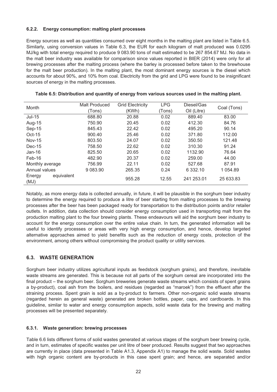#### **6.2.2. Energy consumption: malting plant processes**

Energy sources as well as quantities consumed over eight months in the malting plant are listed in Table 6.5. Similarly, using conversion values in Table 6.3, the EUR for each kilogram of malt produced was 0.0295 MJ/kg with total energy required to produce 9 083.90 tons of malt estimated to be 267 854.67 MJ. No data in the malt beer industry was available for comparison since values reported in BIER (2014) were only for all brewing processes after the malting process (where the barley is processed before taken to the brewhouse for the malt beer production). In the malting plant, the most dominant energy sources is the diesel which accounts for about 90%, and 10% from coal. Electricity from the grid and LPG were found to be insignificant sources of energy in the malting processes.

|                              | Malt Produced | <b>Grid Electricity</b> | <b>LPG</b> | Diesel/Gas  |             |
|------------------------------|---------------|-------------------------|------------|-------------|-------------|
| Month                        | (Tons)        | (KWh)                   | (Tons)     | Oil (Litre) | Coal (Tons) |
| $Jul-15$                     | 688.80        | 20.88                   | 0.02       | 889.40      | 83.00       |
| Aug-15                       | 750.90        | 20.45                   | 0.02       | 412.30      | 84.76       |
| Sep-15                       | 845.43        | 22.42                   | 0.02       | 495.20      | 90.14       |
| $Oct-15$                     | 900.40        | 25.46                   | 0.02       | 371.80      | 112.00      |
| <b>Nov-15</b>                | 803.50        | 24.07                   | 0.02       | 350.50      | 121.48      |
| Dec-15                       | 758.50        | 22.62                   | 0.02       | 310.30      | 91.24       |
| $Jan-16$                     | 825.50        | 20.65                   | 0.02       | 1132.90     | 76.64       |
| Feb-16                       | 482.90        | 20.37                   | 0.02       | 259.00      | 44.00       |
| Monthly average              | 756.99        | 22.11                   | 0.02       | 527.68      | 87.91       |
| Annual values                | 9 083.90      | 265.35                  | 0.24       | 6 3 3 2.10  | 1 0 54.89   |
| equivalent<br>Energy<br>(MJ) |               | 955.28                  | 12.55      | 241 253.01  | 25 633.83   |

|  |  |  | Table 6.5: Distribution and quantity of energy from various sources used in the malting plant. |
|--|--|--|------------------------------------------------------------------------------------------------|
|--|--|--|------------------------------------------------------------------------------------------------|

Notably, as more energy data is collected annually, in future, it will be plausible in the sorghum beer industry to determine the energy required to produce a litre of beer starting from malting processes to the brewing processes after the beer has been packaged ready for transportation to the distribution points and/or retailer outlets. In addition, data collection should consider energy consumption used in transporting malt from the production malting plant to the four brewing plants. These endeavours will aid the sorghum beer industry to account for the energy consumption over the entire value chain. In turn, the generated information will be useful to identify processes or areas with very high energy consumption, and hence, develop targeted alternative approaches aimed to yield benefits such as the reduction of energy costs, protection of the environment, among others without compromising the product quality or utility services.

#### **6.3. WASTE GENERATION**

Sorghum beer industry utilizes agricultural inputs as feedstock (sorghum grains), and therefore, inevitable waste streams are generated. This is because not all parts of the sorghum cereal are incorporated into the final product – the sorghum beer. Sorghum breweries generate waste streams which consists of spent grains a by-product), coal ash from the boilers, and residues (regarded as "maroek") from the effluent after the straining process. Spent grain is sold as a by-product to farmers. Other non-organic solid waste streams (regarded herein as general waste) generated are broken bottles, paper, caps, and cardboards. In this guideline, similar to water and energy consumption aspects, solid waste data for the brewing and malting processes will be presented separately.

#### **6.3.1. Waste generation: brewing processes**

Table 6.6 lists different forms of solid wastes generated at various stages of the sorghum beer brewing cycle, and in turn, estimates of specific wastes per unit litre of beer produced. Results suggest that two approaches are currently in place (data presented in Table A1.3, Appendix A1) to manage the solid waste. Solid wastes with high organic content are by-products in this case spent grain; and hence, are separated and/or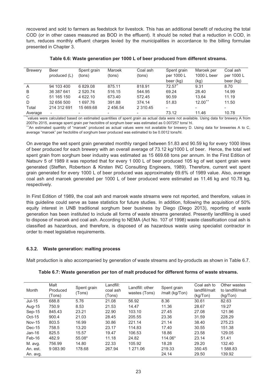recovered and sold to farmers as feedstock for livestock. This has an additional benefit of reducing the total COD (or in other cases measured as BOD in the effluent). It should be noted that a reduction in COD, in turn, reduces monthly effluent charges levied by the municipalities in accordance to the billing formulae presented in Chapter 3.

| <b>Brewery</b> | Beer                     | Spent grain              | Maroek  | Coal ash      | Spent grain              | Maroek per               | Coal ash   |
|----------------|--------------------------|--------------------------|---------|---------------|--------------------------|--------------------------|------------|
|                | produced (L)             | (tons)                   | (tons)  | (tons)        | per 1000 L               | 1000 L beer              | per 1000 L |
|                |                          |                          |         |               | beer (kg)                | (kg)                     | beer (kg)  |
| A              | 94 103 400               | 6829.08                  | 875.11  | 818.91        | $72.57$ <sup>+</sup>     | 9.31                     | 8.70       |
| B              | 36 387 641               | 2 5 2 0 . 7 4            | 516.15  | 544.95        | 69.24                    | 28.40                    | 14.99      |
| C              | 51 165 150               | 4 622.10                 | 673.40  | 572.45        | 90.59                    | 13.64                    | 11.19      |
| D              | 32 656 500               | 1 697.76                 | 391.88  | 374.14        | 51.83                    | $12.00^{++}$             | 11.50      |
| Total          | 214 312 691              | 15 669.68                | 2456.54 | 2 3 1 0 . 4 5 | $\overline{\phantom{0}}$ | $\overline{\phantom{0}}$ |            |
| Average        | $\overline{\phantom{a}}$ | $\overline{\phantom{a}}$ |         |               | 73.12                    | 11.46                    | 10.78      |

|  |  | Table 6.6: Waste generation per 1000 L of beer produced from different streams. |
|--|--|---------------------------------------------------------------------------------|
|  |  |                                                                                 |

+ values were calculated based on estimated quantities of spent grain as actual data were not available. Using data for brewery A from 2007to 2015, average spent grain per hectolitre of sorghum beer was estimated as 0.007257 tons/ hl.

++An estimated quantity of "maroek" produced as actual values were not available for brewery D. Using data for breweries A to C, average "maroek" per hectolitre of sorghum beer produced was estimated to be 0.0012 tons/hl.

On average the wet spent grain generated monthly ranged between 51.83 and 90.59 kg for every 1000 litres of beer produced for each brewery with an overall average of 73.12 kg/1000 L of beer. Hence, the total wet spent grain from sorghum beer industry was estimated as 15 669.68 tons per annum. In the First Edition of Natsurv 5 of 1989 it was reported that for every 1 000 L of beer produced 105 kg of wet spent grain were generated (Steffen, Robertson & Kirsten INC Consulting Engineers, 1989). Therefore, current wet spent grain generated for every 1000 L of beer produced was approximately 69.6% of 1989 value. Also, average coal ash and maroek generated per 1000 L of beer produced were estimated as 11.46 kg and 10.78 kg, respectively.

In First Edition of 1989, the coal ash and maroek waste streams were not reported, and therefore, values in this guideline could serve as base statistics for future studies. In addition, following the acquisition of 50% equity interest in UNB traditional sorghum beer business by Diego (Diego 2013), reporting of waste generation has been instituted to include all forms of waste streams generated. Presently landfilling is used to dispose of maroek and coal ash. According to NEMA (Act No. 107 of 1998) waste classification coal ash is classified as hazardous, and therefore, is disposed of as hazardous waste using specialist contractor in order to meet legislative requirements.

#### **6.3.2. Waste generation: malting process**

Malt production is also accompanied by generation of waste streams and by-products as shown in Table 6.7.

| Month         | Malt<br>Produced<br>Tons) | Spent grain<br>(Tons) | Landfill:<br>coal ash<br>(Tons) | Landfill: other<br>wastes (Tons) | Spent grain<br>/malt (kg/Ton) | Coal ash to<br>landfill/malt<br>(kg/Ton) | Other wastes<br>to landfill/malt<br>(kg/Ton) |
|---------------|---------------------------|-----------------------|---------------------------------|----------------------------------|-------------------------------|------------------------------------------|----------------------------------------------|
| $Jul-15$      | 688.8                     | 5.76                  | 21.08                           | 56.92                            | 8.36                          | 30.61                                    | 82.63                                        |
| Aug-15        | 750.9                     | 8.53                  | 21.53                           | 14.47                            | 11.36                         | 28.67                                    | 19.27                                        |
| Sep-15        | 845.43                    | 23.21                 | 22.90                           | 103.10                           | 27.45                         | 27.08                                    | 121.96                                       |
| $Oct-15$      | 900.4                     | 21.03                 | 28.45                           | 205.55                           | 23.36                         | 31.59                                    | 228.29                                       |
| <b>Nov-15</b> | 803.5                     | 16.99                 | 30.86                           | 221.14                           | 21.14                         | 38.40                                    | 275.23                                       |
| $Dec-15$      | 758.5                     | 13.20                 | 23.17                           | 114.83                           | 17.40                         | 30.55                                    | 151.38                                       |
| $Jan-16$      | 825.5                     | 15.57                 | 19.47                           | 106.53                           | 18.86                         | 23.58                                    | 129.05                                       |
| Feb-16        | 482.9                     | 55.08*                | 11.18                           | 24.82                            | 114.06*                       | 23.14                                    | 51.41                                        |
| M. avg.       | 756.99                    | 14.80                 | 22.33                           | 105.92                           | 18.28                         | 29.20                                    | 132.40                                       |
| An. est.      | 9 083.90                  | 178.68                | 267.94                          | 1 271.06                         | 219.33                        | 350.45                                   | 1588.83                                      |
| An. avg.      |                           |                       |                                 |                                  | 24.14                         | 29.50                                    | 139.92                                       |

**Table 6.7: Waste generation per ton of malt produced for different forms of waste streams.**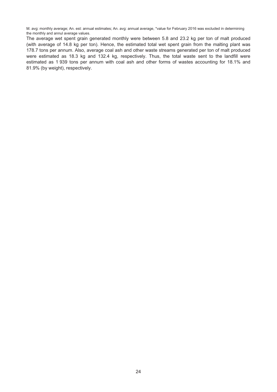M. avg: monthly average; An. est: annual estimates; An. avg: annual average, \*value for February 2016 was excluded in determining the monthly and annul average values.

The average wet spent grain generated monthly were between 5.8 and 23.2 kg per ton of malt produced (with average of 14.8 kg per ton). Hence, the estimated total wet spent grain from the malting plant was 178.7 tons per annum. Also, average coal ash and other waste streams generated per ton of malt produced were estimated as 18.3 kg and 132.4 kg, respectively. Thus, the total waste sent to the landfill were estimated as 1 939 tons per annum with coal ash and other forms of wastes accounting for 18.1% and 81.9% (by weight), respectively.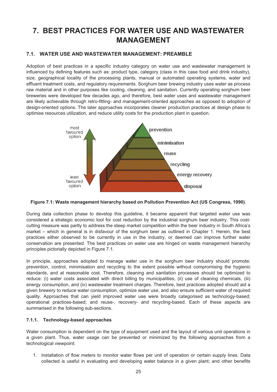### **7. BEST PRACTICES FOR WATER USE AND WASTEWATER MANAGEMENT**

#### **7.1. WATER USE AND WASTEWATER MANAGEMENT: PREAMBLE**

Adoption of best practices in a specific industry category on water use and wastewater management is influenced by defining features such as: product type, category (class in this case food and drink industry), size, geographical locality of the processing plants, manual or automated operating systems, water and effluent treatment costs, and regulatory requirements. Sorghum beer brewing industry uses water as process raw material and in other purposes like cooling, cleaning, and sanitation. Currently operating sorghum beer breweries were developed few decades ago, and therefore, best water uses and wastewater management are likely achievable through retro-fitting- and management-oriented approaches as opposed to adoption of design-oriented options. The later approaches incorporates cleaner production practices at design phase to optimise resources utilization, and reduce utility costs for the production plant in question.



#### **Figure 7.1: Waste management hierarchy based on Pollution Prevention Act (US Congress, 1990)**.

During data collection phase to develop this guideline, it became apparent that targeted water use was considered a strategic economic tool for cost reduction by the industrial sorghum beer industry. This costcutting measure was partly to address the steep market competition within the beer industry in South Africa's market – which in general is in disfavour of the sorghum beer as outlined in Chapter 1. Herein, the best practices either observed to be currently in use in the industry, or deemed can improve further water conservation are presented. The best practices on water use are hinged on waste management hierarchy principles pictorially depicted in Figure 7.1.

In principle, approaches adopted to manage water use in the sorghum beer industry should promote: prevention, control, minimisation and recycling to the extent possible without compromising the hygienic standards, and at reasonable cost. Therefore, cleaning and sanitation processes should be optimized to reduce: (i) water costs associated with direct billing by municipalities, (ii) use of cleaning chemicals, (iii) energy consumption, and (iv) wastewater treatment charges. Therefore, best practices adopted should aid a given brewery to reduce water consumption, optimize water use, and also ensure sufficient water of required quality. Approaches that can yield improved water use were broadly categorised as technology-based; operational practices-based; and reuse-, recovery- and recycling-based. Each of these aspects are summarised in the following sub-sections.

#### **7.1.1. Technology-based approaches**

Water consumption is dependent on the type of equipment used and the layout of various unit operations in a given plant. Thus, water usage can be prevented or minimized by the following approaches from a technological viewpoint:

1. Installation of flow meters to monitor water flows per unit of operation or certain supply lines. Data collected is useful in evaluating and developing water balance in a given plant; and other benefits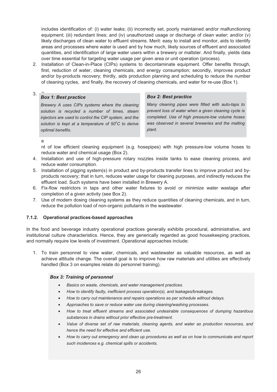includes identification of: (i) water leaks; (ii) incorrectly set, poorly maintained and/or malfunctioning equipment; (iii) redundant lines; and (iv) unauthorized usage or discharge of clean water; and/or (v) likely discharges of clean water to effluent streams. Merit: easy to install and monitor, aids to identify areas and processes where water is used and by how much, likely sources of effluent and associated quantities, and identification of large water users within a brewery or maltster. And finally, yields data over time essential for targeting water usage per given area or unit operation (process).

2. Installation of Clean-in-Place (CIPs) systems to decontaminate equipment. Offer benefits through, first, reduction of water, cleaning chemicals, and energy consumption; secondly, improves product and/or by-products recovery; thirdly, aids production planning and scheduling to reduce the number of cleaning cycles, and finally, the recovery of cleaning chemicals, and water for re-use (Box 1).

#### $3.$ e *Box 1: Best practice*

Brewery A uses CIPs systems where the cleaning solution is recycled a number of times, steam injectors are used to control the CIP system, and the solution is kept at a temperature of 50°C to derive e *optimal benefits.*

#### *Box 2: Best practice*

*Many cleaning pipes were fitted with auto-taps to prevent loss of water when a given cleaning cycle is completed. Use of high pressure-low volume hoses was observed in several breweries and the malting plant.* 

e

nt of low efficient cleaning equipment (e.g. hosepipes) with high pressure-low volume hoses to reduce water and chemical usage (Box 2).

- 4. Installation and use of high-pressure rotary nozzles inside tanks to ease cleaning process, and reduce water consumption.
- 5. Installation of pigging system(s) in product and by-products transfer lines to improve product and byproducts recovery; that in turn, reduces water usage for cleaning purposes, and indirectly reduces the effluent load. Such systems have been installed in Brewery A.
- 6. Fix-flow restrictors in taps and other water fixtures to avoid or minimize water wastage after completion of a given activity (see Box 2).
- 7. Use of modern dosing cleaning systems as they reduce quantities of cleaning chemicals, and in turn, reduce the pollution load of non-organic pollutants in the wastewater.

#### **7.1.2. Operational practices-based approaches**

In the food and beverage industry operational practices generally exhibits procedural, administrative, and institutional culture characteristics. Hence, they are generically regarded as good housekeeping practices, and normally require low levels of investment. Operational approaches include:

1. To train personnel to view water, chemicals, and wastewater as valuable resources, as well as achieve attitude change. The overall goal is to improve how raw materials and utilities are effectively handled (Box 3 on examples relate do personnel training).

#### *Box 3: Training of personnel*

- *Basics on waste, chemicals, and water management practices.*
- *How to identify faulty, inefficient process operation(s), and leakages/breakages.*
- *How to carry out maintenance and repairs operations as per schedule without delays.*
- *Approaches to save or reduce water use during cleaning/washing processes.*
- *How to treat effluent streams and associated undesirable consequences of dumping hazardous substances in drains without prior effective pre-treatment.*
- *Value of diverse set of raw materials, cleaning agents, and water as production resources, and hence the need for effective and efficient use.*
- *How to carry out emergency and clean up procedures as well as on how to communicate and report such incidences e.g. chemical spills or accidents.*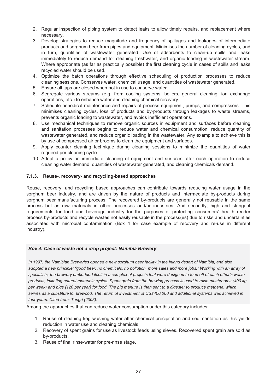- 2. Regular inspection of piping system to detect leaks to allow timely repairs, and replacement where necessary.
- 3. Develop strategies to reduce magnitude and frequency of spillages and leakages of intermediate products and sorghum beer from pipes and equipment. Minimises the number of cleaning cycles, and in turn, quantities of wastewater generated. Use of adsorbents to clean-up spills and leaks immediately to reduce demand for cleaning freshwater, and organic loading in wastewater stream. Where appropriate (as far as practically possible) the first cleaning cycle in cases of spills and leaks recycled water should be used.
- 4. Optimize the batch operations through effective scheduling of production processes to reduce cleaning sessions. Conserves water, chemical usage, and quantities of wastewater generated.
- 5. Ensure all taps are closed when not in use to conserve water.
- 6. Segregate various streams (e.g. from cooling systems, boilers, general cleaning, ion exchange operations, etc.) to enhance water and cleaning chemical recovery.
- 7. Schedule periodical maintenance and repairs of process equipment, pumps, and compressors. This minimises cleaning cycles, loss of products and by-products through leakages to waste streams, prevents organic loading to wastewater, and avoids inefficient operations.
- 8. Use mechanical techniques to remove organic sources in equipment and surfaces before cleaning and sanitation processes begins to reduce water and chemical consumption, reduce quantity of wastewater generated, and reduce organic loading in the wastewater. Any example to achieve this is by use of compressed air or brooms to clean the equipment and surfaces.
- 9. Apply counter cleaning technique during cleaning sessions to minimize the quantities of water required per cleaning cycle.
- 10. Adopt a policy on immediate cleaning of equipment and surfaces after each operation to reduce cleaning water demand, quantities of wastewater generated, and cleaning chemicals demand.

#### **7.1.3. Reuse-, recovery- and recycling-based approaches**

Reuse, recovery, and recycling based approaches can contribute towards reducing water usage in the sorghum beer industry, and are driven by the nature of products and intermediate by-products during sorghum beer manufacturing process. The recovered by-products are generally not reusable in the same process but as raw materials in other processes and/or industries. And secondly, high and stringent requirements for food and beverage industry for the purposes of protecting consumers' health render process by-products and recycle wastes not easily reusable in the process(es) due to risks and uncertainties associated with microbial contamination (Box 4 for case example of recovery and re-use in different industry).

#### *Box 4: Case of waste not a drop project: Namibia Brewery*

*In 1997, the Namibian Breweries opened a new sorghum beer facility in the inland desert of Namibia, and also*  adopted a new principle: "good beer, no chemicals, no pollution, more sales and more jobs." Working with an array of *specialists, the brewery embedded itself in a complex of projects that were designed to feed off of each other's waste products, imitating natural materials cycles. Spent grain from the brewing process is used to raise mushrooms (400 kg per week) and pigs (120 per year) for food. The pig manure is then sent to a digester to produce methane, which serves as a substitute for firewood. The return of investment of US\$400,000 and additional systems was achieved in four years. Cited from: Tangri (2003).*

Among the approaches that can reduce water consumption under this category includes:

- 1. Reuse of cleaning keg washing water after chemical precipitation and sedimentation as this yields reduction in water use and cleaning chemicals.
- 2. Recovery of spent grains for use as livestock feeds using sieves. Recovered spent grain are sold as by-products.
- 3. Reuse of final rinse-water for pre-rinse stage.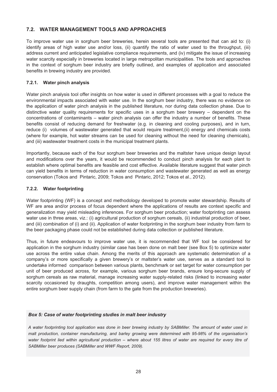#### **7.2. WATER MANAGEMENT TOOLS AND APPROACHES**

To improve water use in sorghum beer breweries, herein several tools are presented that can aid to: (i) identify areas of high water use and/or loss, (ii) quantify the ratio of water used to the throughput, (iii) address current and anticipated legislative compliance requirements, and (iv) mitigate the issue of increasing water scarcity especially in breweries located in large metropolitan municipalities. The tools and approaches in the context of sorghum beer industry are briefly outlined, and examples of application and associated benefits in brewing industry are provided.

#### **7.2.1. Water pinch analysis**

Water pinch analysis tool offer insights on how water is used in different processes with a goal to reduce the environmental impacts associated with water use. In the sorghum beer industry, there was no evidence on the application of water pinch analysis in the published literature, nor during data collection phase. Due to distinctive water quality requirements for specific uses in a sorghum beer brewery – dependent on the concentrations of contaminants – water pinch analysis can offer the industry a number of benefits. These benefits consist of reducing demand for freshwater (e.g. in cleaning and cooling purposes), and in turn, reduce (i) volumes of wastewater generated that would require treatment,(ii) energy and chemicals costs (where for example, hot water streams can be used for cleaning without the need for cleaning chemicals), and (iii) wastewater treatment costs in the municipal treatment plants.

Importantly, because each of the four sorghum beer breweries and the maltster have unique design layout and modifications over the years, it would be recommended to conduct pinch analysis for each plant to establish where optimal benefits are feasible and cost effective. Available literature suggest that water pinch can yield benefits in terms of reduction in water consumption and wastewater generated as well as energy conservation (Tokos and Pintaric, 2009; Tokos and Pintaric, 2012; Tokos et al., 2012).

#### **7.2.2. Water footprinting**

Water footprinting (WF) is a concept and methodology developed to promote water stewardship. Results of WF are area and/or process of focus dependent where the applications of results are context specific and generalization may yield misleading inferences. For sorghum beer production; water footprinting can assess water use in three areas, viz.: (i) agricultural production of sorghum cereals, (ii) industrial production of beer, and (iii) combination of (i) and (ii). Application of water footprinting in the sorghum beer industry from farm to the beer packaging phase could not be established during data collection or published literature.

Thus, in future endeavours to improve water use, it is recommended that WF tool be considered for application in the sorghum industry (similar case has been done on malt beer (see Box 5) to optimize water use across the entire value chain. Among the merits of this approach are systematic determination of a company's or more specifically a given brewery's or maltster's water use, serves as a standard tool to undertake informed comparison between various plants, benchmark or set target for water consumption per unit of beer produced across, for example, various sorghum beer brands, ensure long-secure supply of sorghum cereals as raw material, manage increasing water supply-related risks (linked to increasing water scarcity occasioned by draughts, competition among users), and improve water management within the entire sorghum beer supply chain (from farm to the gate from the production breweries).

#### *Box 5: Case of water footprinting studies in malt beer industry*

*A water footprinting tool application was done in beer brewing industry by SABMiller. The amount of water used in malt production, container manufacturing, and barley growing were determined with 95-98% of the organisation's*  water footprint lied within agricultural production – where about 155 litres of water are required for every litre of *SABMiller beer produces (SABMiller and WWF Report, 2009).*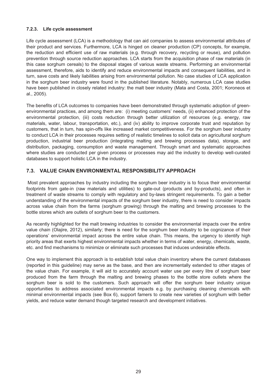#### **7.2.3. Life cycle assessment**

Life cycle assessment (LCA) is a methodology that can aid companies to assess environmental attributes of their product and services. Furthermore, LCA is hinged on cleaner production (CP) concepts, for example, the reduction and efficient use of raw materials (e.g. through recovery, recycling or reuse), and pollution prevention through source reduction approaches. LCA starts from the acquisition phase of raw materials (in this case sorghum cereals) to the disposal stages of various waste streams. Performing an environmental assessment, therefore, aids to identify and reduce environmental impacts and consequent liabilities, and in turn, save costs and likely liabilities arising from environmental pollution. No case studies of LCA application in the sorghum beer industry were found in the published literature. Notably, numerous LCA case studies have been published in closely related industry: the malt beer industry (Mata and Costa, 2001; Koroneos et al., 2005).

The benefits of LCA outcomes to companies have been demonstrated through systematic adoption of greenenvironmental practices, and among them are: (i) meeting customers' needs, (ii) enhanced protection of the environmental protection, (iii) costs reduction through better utilization of resources (e.g. energy, raw materials, water, labour, transportation, etc.), and (iv) ability to improve corporate trust and reputation by customers, that in turn, has spin-offs like increased market competitiveness. For the sorghum beer industry to conduct LCA in their processes requires setting of realistic timelines to solicit data on agricultural sorghum production, industrial beer production (integrating malting and brewing processes data), storage, and distribution, packaging, consumption and waste management. Through smart and systematic approaches where studies are conducted per given process or processes may aid the industry to develop well-curated databases to support holistic LCA in the industry.

#### **7.3. VALUE CHAIN ENVIRONMENTAL RESPONSIBILITY APPROACH**

 Most prevalent approaches by industry including the sorghum beer industry is to focus their environmental footprints from gate-in (raw materials and utilities) to gate-out (products and by-products), and often in treatment of waste streams to comply with regulatory and by-laws stringent requirements. To gain a better understanding of the environmental impacts of the sorghum beer industry, there is need to consider impacts across value chain from the farms (sorghum growing) through the malting and brewing processes to the bottle stores which are outlets of sorghum beer to the customers.

As recently highlighted for the malt brewing industries to consider the environmental impacts over the entire value chain (Olajire, 2012), similarly; there is need for the sorghum beer industry to be cognizance of their operations' environmental impact across the entire value chain. This means, the urgency to identify high priority areas that exerts highest environmental impacts whether in terms of water, energy, chemicals, waste, etc. and find mechanisms to minimize or eliminate such processes that induces undesirable effects.

One way to implement this approach is to establish total value chain inventory where the current databases (reported in this guideline) may serve as the base, and then are incrementally extended to other stages of the value chain. For example, it will aid to accurately account water use per every litre of sorghum beer produced from the farm through the malting and brewing phases to the bottle store outlets where the sorghum beer is sold to the customers. Such approach will offer the sorghum beer industry unique opportunities to address associated environmental impacts e.g. by purchasing cleaning chemicals with minimal environmental impacts (see Box 6), support famers to create new varieties of sorghum with better yields, and reduce water demand though targeted research and development initiatives.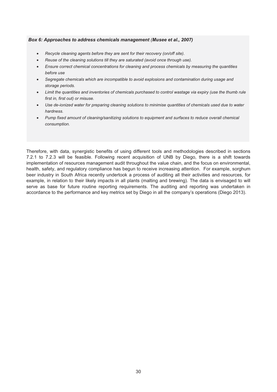#### *Box 6: Approaches to address chemicals management (Musee et al., 2007)*

- *Recycle cleaning agents before they are sent for their recovery (on/off site).*
- *Reuse of the cleaning solutions till they are saturated (avoid once through use).*
- *Ensure correct chemical concentrations for cleaning and process chemicals by measuring the quantities before use*
- *Segregate chemicals which are incompatible to avoid explosions and contamination during usage and storage periods.*
- *Limit the quantities and inventories of chemicals purchased to control wastage via expiry (use the thumb rule first in, first out) or misuse.*
- *Use de-ionized water for preparing cleaning solutions to minimise quantities of chemicals used due to water hardness.*
- *Pump fixed amount of cleaning/sanitizing solutions to equipment and surfaces to reduce overall chemical consumption.*

Therefore, with data, synergistic benefits of using different tools and methodologies described in sections 7.2.1 to 7.2.3 will be feasible. Following recent acquisition of UNB by Diego, there is a shift towards implementation of resources management audit throughout the value chain, and the focus on environmental, health, safety, and regulatory compliance has begun to receive increasing attention. For example, sorghum beer industry in South Africa recently undertook a process of auditing all their activities and resources, for example, in relation to their likely impacts in all plants (malting and brewing). The data is envisaged to will serve as base for future routine reporting requirements. The auditing and reporting was undertaken in accordance to the performance and key metrics set by Diego in all the company's operations (Diego 2013).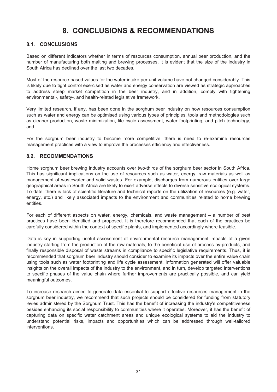### **8. CONCLUSIONS & RECOMMENDATIONS**

#### **8.1. CONCLUSIONS**

Based on different indicators whether in terms of resources consumption, annual beer production, and the number of manufacturing both malting and brewing processes, it is evident that the size of the industry in South Africa has declined over the last two decades.

Most of the resource based values for the water intake per unit volume have not changed considerably. This is likely due to tight control exercised as water and energy conservation are viewed as strategic approaches to address steep market competition in the beer industry, and in addition, comply with tightening environmental-, safety-, and health-related legislative framework.

Very limited research, if any, has been done in the sorghum beer industry on how resources consumption such as water and energy can be optimised using various types of principles, tools and methodologies such as cleaner production, waste minimization, life cycle assessment, water footprinting, and pitch technology, and

For the sorghum beer industry to become more competitive, there is need to re-examine resources management practices with a view to improve the processes efficiency and effectiveness.

#### **8.2. RECOMMENDATIONS**

Home sorghum beer brewing industry accounts over two-thirds of the sorghum beer sector in South Africa. This has significant implications on the use of resources such as water, energy, raw materials as well as management of wastewater and solid wastes. For example, discharges from numerous entities over large geographical areas in South Africa are likely to exert adverse effects to diverse sensitive ecological systems. To date, there is lack of scientific literature and technical reports on the utilization of resources (e.g. water, energy, etc.) and likely associated impacts to the environment and communities related to home brewing entities.

For each of different aspects on water, energy, chemicals, and waste management – a number of best practices have been identified and proposed. It is therefore recommended that each of the practices be carefully considered within the context of specific plants, and implemented accordingly where feasible.

Data is key in supporting useful assessment of environmental resource management impacts of a given industry starting from the production of the raw materials, to the beneficial use of process by-products, and finally responsible disposal of waste streams in compliance to specific legislative requirements. Thus, it is recommended that sorghum beer industry should consider to examine its impacts over the entire value chain using tools such as water footprinting and life cycle assessment. Information generated will offer valuable insights on the overall impacts of the industry to the environment, and in turn, develop targeted interventions to specific phases of the value chain where further improvements are practically possible, and can yield meaningful outcomes.

To increase research aimed to generate data essential to support effective resources management in the sorghum beer industry, we recommend that such projects should be considered for funding from statutory levies administered by the Sorghum Trust. This has the benefit of increasing the industry's competitiveness besides enhancing its social responsibility to communities where it operates. Moreover, it has the benefit of capturing data on specific water catchment areas and unique ecological systems to aid the industry to understand potential risks, impacts and opportunities which can be addressed through well-tailored interventions.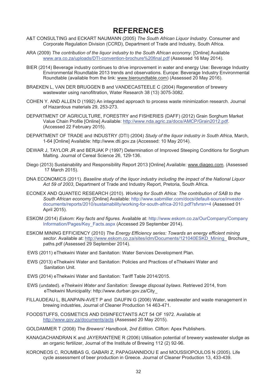### **REFERENCES**

- A&T CONSULTING and ECKART NAUMANN (2005) *The South African Liquor Industry.* Consumer and Corporate Regulation Division (CCRD), Department of Trade and Industry, South Africa.
- ARA (2009) *The contribution of the liquor industry to the South African economy.* [Online] Available www.ara.co.za/uploads/DTI-convention-brochure%20final.pdf (Assessed 16 May 2014).
- BIER (2014) Beverage industry continues to drive improvement in water and energy Use: Beverage Industry Environmental Roundtable 2013 trends and observations. Europe: Beverage Industry Environmental Roundtable (available from the link: www.bieroundtable.com) (Assessed 20 May 2016).
- BRAEKEN L, VAN DER BRUGGEN B and VANDECASTEELE C (2004) Regeneration of brewery wastewater using nanofiltration, Water Research 38 (13) 3075-3082.
- COHEN Y. AND ALLEN D (1992) An integrated approach to process waste minimization research. Journal of Hazardous materials 29, 253-273.
- DEPARTMENT OF AGRICULTURE, FORESTRY and FISHERIES (DAFF) (2012) Grain Sorghum Market Value Chain Profile [Online] Available: http://www.nda.agric.za/docs/AMCP/Grain2012.pdf. (Accessed 22 February 2015).
- DEPARTMENT OF TRADE and INDUSTRY (DTI) (2004) *Study of the liquor industry in South Africa*, March, 1-64 [Online] Available: http://www.dti.gov.za (Accessed: 10 May 2014).
- DEWAR J, TAYLOR JR and BERJAK P (1997) Determination of Improved Steeping Conditions for Sorghum Malting. Journal of Cereal Science 26, 129-136.
- Diego (2013) Sustainability and Responsibility Report 2013 [Online] Available: www.diageo.com. (Assessed 17 March 2015).
- DNA ECONOMICS (2011). *Baseline study of the liquor industry including the impact of the National Liquor Act 59 of 2003*, Department of Trade and Industry Report, Pretoria, South Africa.
- ECONEX AND QUANTEC RESEARCH (2010). *Working for South Africa: The contribution of SAB to the South African economy* [Online] Available: http://www.sabmiller.com/docs/default-source/investor documents/reports/2010/sustainability/working-for-south-africa-2010.pdf?sfvrsn=4 (Assessed 01 April 2015).
- ESKOM (2014) *Eskom: Key facts and figures.* Available at: http://www.eskom.co.za/OurCompany/Company Information/Pages/Key\_Facts.aspx (Accessed 29 September 2014).
- ESKOM MINING EFFICIENCY (2010) *The Energy Efficiency series: Towards an energy efficient mining*  sector. Available at: http://www.eskom.co.za/sites/idm/Documents/121040ESKD\_Mining\_Brochure\_ paths.pdf (Assessed 29 September 2014).
- EWS (2011) eThekwini Water and Sanitation: Water Services Development Plan.
- EWS (2013) eThekwini Water and Sanitation: Policies and Practices of eThekwini Water and Sanitation Unit.
- EWS (2014) eThekwini Water and Sanitation: Tariff Table 2014/2015.
- EWS (undated). *eThekwini Water and Sanitation: Sewage disposal bylaws.* Retrieved 2014, from eThekwini Municipality: http://www.durban.gov.za/City\_
- FILLAUDEAU L, BLANPAIN-AVET P and DAUFIN G (2006) Water, wastewater and waste management in brewing industries, Journal of Cleaner Production 14 463-471.
- FOODSTUFFS, COSMETICS AND DISINFECTANTS ACT 54 OF 1972. Available at http://www.gov.za/documents/acts (Assessed 20 May 2015).
- GOLDAMMER T (2008) *The Brewers' Handbook, 2nd Edition.* Clifton: Apex Publishers.
- KANAGACHANDRAN K and JAYERANTENE R (2006) Utilisation potential of brewery wastewater sludge as an organic fertilizer, Journal of the Institute of Brewing 112 (2) 92-96.
- KORONEOS C, ROUMBAS G, GABARI Z, PAPAGIANNIDOU E and MOUSSIOPOULOS N (2005). Life cycle assessment of beer production in Greece. Journal of Cleaner Production 13, 433-439.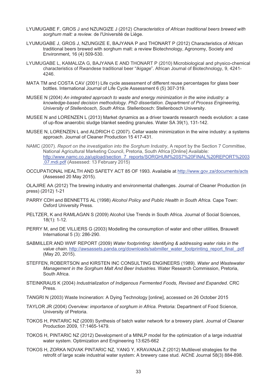- LYUMUGABE F, GROS J and NZUNGIZE J (2012) *Characteristics of African traditional beers brewed with sorghum malt: a review.* de l'Université de Liège.
- LYUMUGABE J, GROS J, NZUNGIZE E, BAJYANA P and THONART P (2012) Characteristics of African traditional beers brewed with sorghum malt: a review Biotechnology, Agronomy, Society and Environment, 16 (4) 509-530.
- LYUMUGABE L, KAMALIZA G, BAJYANA E AND THONART P (2010) Microbiological and physico-chemical characteristics of Rwandese traditional beer "*Ikigage*". African Journal of Biotechnology, 9, 4241- 4246.
- MATA TM and COSTA CAV (2001) Life cycle assessment of different reuse percentages for glass beer bottles. International Journal of Life Cycle Assessment 6 (5) 307-319.
- MUSEE N (2004) *An integrated approach to waste and energy minimization in the wine industry: a knowledge-based decision methodology. PhD dissertation. Department of Process Engineering, University of Stellenbosch, South Africa.* Stellenbosch: Stellenbosch University.
- MUSEE N and LORENZEN L (2013) Market dynamics as a driver towards research needs evolution: a case of up-flow anaerobic sludge blanket seeding granules. Water SA 39(1), 131-142.
- MUSEE N, LORENZEN L and ALDRICH C (2007). Cellar waste minimization in the wine industry: a systems approach. Journal of Cleaner Production 15 417-431.
- NAMC (2007). *Report on the investigation into the Sorghum Industry*, A report by the Section 7 Committee, National Agricultural Marketing Council, Pretoria, South Africa [Online] Available: http://www.namc.co.za/upload/section\_7\_reports/SORGHUM%20S7%20FINAL%20REPORT%2003 .07.mdi.pdf (Assessed: 13 February 2015)
- OCCUPATIONAL HEALTH AND SAFETY ACT 85 OF 1993. Available at http://www.gov.za/documents/acts (Assessed 20 May 2015).

OLAJIRE AA (2012) The brewing industry and environmental challenges. Journal of Cleaner Production (in press) (2012) 1-21

- PARRY CDH and BENNETTS AL (1998) *Alcohol Policy and Public Health in South Africa.* Cape Town: Oxford University Press.
- PELTZER, K and RAMLAGAN S (2009) Alcohol Use Trends in South Africa*.* Journal of Social Sciences, 18(1): 1-12.
- PERRY M, and DE VILLIERS G (2003) Modelling the consumption of water and other utilities, Brauwelt International 5 (3): 286-290.
- SABMILLER AND WWF REPORT (2009) *Water footprinting: Identifying & addressing water risks in the value chain*, http://awsassets.panda.org/downloads/sabmiller\_water\_footprinting\_report\_final\_.pdf (May 20, 2015).
- STEFFEN, ROBERTSON and KIRSTEN INC CONSULTING ENGINEERS (1989). *Water and Wastewater Management in the Sorghum Malt And Beer Industries.* Water Research Commission, Pretoria, South Africa.
- STEINKRAUS K (2004) *Industrialization of Indigenous Fermented Foods, Revised and Expanded.* CRC Press.
- TANGRI N (2003) Waste Incineration: A Dying Technology [online], accessed on 26 October 2015
- TAYLOR JR (2004) *Overview: importance of sorghum in Africa.* Pretoria: Department of Food Science, University of Pretoria.
- TOKOS H, PINTARIC NZ (2009) Synthesis of batch water network for a brewery plant. Journal of Cleaner Production 2009, 17:1465-1479.
- TOKOS H, PINTARIC NZ (2012) Development of a MINLP model for the optimization of a large industrial water system. Optimization and Engineering 13:625-662
- TOKOS H, ZORKA NOVAK PINTARIC NZ, YANG Y, KRAVANJA Z (2012) Multilevel strategies for the retrofit of large scale industrial water system: A brewery case stud. AIChE Journal 58(3) 884-898.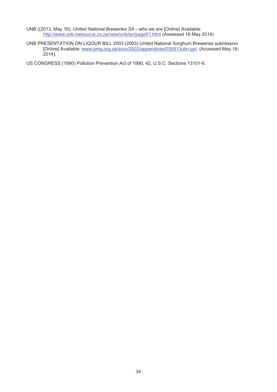- UNB ((2013, May 16). *United National Breweries SA* **–** *who we are* [Online] Available: http://www.unb.netsource.co.za/view/unb/en/page51.html (Assessed 16 May 2014)
- UNB PRESENTATION ON LIQOUR BILL 2003 (2003) United National Sorghum Breweries submission [Online] Available: www.pmg.org.za/docs/2003/appendices/030513ubn.ppt (Accessed May 16,  $2014$ ).

US CONGRESS (1990) Pollution Prevention Act of 1990, 42, U.S.C. Sections 13101-6.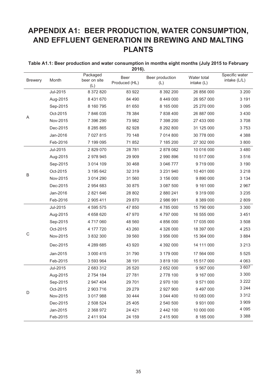# **APPENDIX A1: BEER PRODUCTION, WATER CONSUMPTION, AND EFFLUENT GENERATION IN BREWING AND MALTING PLANTS**

| <b>Brewery</b> | Month    | Packaged<br>beer on site<br>(L) | Beer<br>Produced (HL) | Beer production<br>(L) | Water total<br>intake $(L)$ | Specific water<br>intake (L/L) |
|----------------|----------|---------------------------------|-----------------------|------------------------|-----------------------------|--------------------------------|
|                | Jul-2015 | 8 372 820                       | 83 922                | 8 392 200              | 26 856 000                  | 3 2 0 0                        |
| Α              | Aug-2015 | 8 4 3 1 6 7 0                   | 84 490                | 8 449 000              | 26 957 000                  | 3 1 9 1                        |
|                | Sep-2015 | 8 160 795                       | 81 650                | 8 165 000              | 25 270 000                  | 3 0 9 5                        |
|                | Oct-2015 | 7846035                         | 78 384                | 7 838 400              | 26 887 000                  | 3 4 3 0                        |
|                | Nov-2015 | 7 396 290                       | 73 982                | 7 398 200              | 27 433 000                  | 3708                           |
|                | Dec-2015 | 8 2 8 5 8 6 5                   | 82 928                | 8 29 2 800             | 31 125 000                  | 3753                           |
|                | Jan-2016 | 7 027 815                       | 70 148                | 7 014 800              | 30 778 000                  | 4 3 8 8                        |
|                | Feb-2016 | 7 199 095                       | 71 852                | 7 185 200              | 27 302 000                  | 3 800                          |
| B<br>C         | Jul-2015 | 2 829 070                       | 28781                 | 2878082                | 10 016 000                  | 3 4 8 0                        |
|                | Aug-2015 | 2 978 945                       | 29 909                | 2 990 896              | 10 517 000                  | 3516                           |
|                | Sep-2015 | 3 0 14 1 0 9                    | 30 4 68               | 3 046 777              | 9719000                     | 3 1 9 0                        |
|                | Oct-2015 | 3 195 642                       | 32 319                | 3 2 3 1 9 4 0          | 10 401 000                  | 3 2 1 8                        |
|                | Nov-2015 | 3 0 14 2 90                     | 31 560                | 3 156 000              | 9 890 000                   | 3 1 3 4                        |
|                | Dec-2015 | 2 954 683                       | 30 875                | 3 087 500              | 9 161 000                   | 2 9 6 7                        |
|                | Jan-2016 | 2 821 646                       | 28 802                | 2 880 241              | 9 319 000                   | 3 2 3 5                        |
|                | Feb-2016 | 2 905 411                       | 29 870                | 2 986 991              | 8 389 000                   | 2809                           |
|                | Jul-2015 | 4 595 575                       | 47 850                | 4785000                | 15 790 000                  | 3 3 0 0                        |
|                | Aug-2015 | 4 658 620                       | 47 970                | 4797000                | 16 555 000                  | 3 4 5 1                        |
|                | Sep-2015 | 4 717 060                       | 48 560                | 4 856 000              | 17 035 000                  | 3 5 0 8                        |
|                | Oct-2015 | 4 177 720                       | 43 260                | 4 326 000              | 18 397 000                  | 4 2 5 3                        |
|                | Nov-2015 | 3 832 300                       | 39 560                | 3 956 000              | 15 364 000                  | 3884                           |
|                | Dec-2015 | 4 289 685                       | 43 920                | 4 392 000              | 14 111 000                  | 3 2 1 3                        |
|                | Jan-2015 | 3 000 415                       | 31790                 | 3 179 000              | 17 564 000                  | 5 5 2 5                        |
|                | Feb-2015 | 3 593 964                       | 38 191                | 3 819 100              | 15 517 000                  | 4 0 6 3                        |
|                | Jul-2015 | 2 683 312                       | 26 5 20               | 2 652 000              | 9 567 000                   | $\overline{3}607$              |
|                | Aug-2015 | 2 754 184                       | 27 781                | 2 778 100              | 9 167 000                   | 3 3 0 0                        |
|                | Sep-2015 | 2 947 404                       | 29 701                | 2 970 100              | 9 571 000                   | 3 2 2 2                        |
|                | Oct-2015 | 2 903 716                       | 29 27 9               | 2 927 900              | 9 497 000                   | 3 2 4 4                        |
|                | Nov-2015 | 3 017 988                       | 30 444                | 3 044 400              | 10 083 000                  | 3 3 1 2                        |
| D              | Dec-2015 | 2 508 524                       | 25 4 05               | 2 540 500              | 9 9 3 1 0 0 0               | 3 9 0 9                        |
|                | Jan-2015 | 2 3 68 9 72                     | 24 4 21               | 2 442 100              | 10 000 000                  | 4 0 9 5                        |
|                | Feb-2015 | 2 411 934                       | 24 159                | 2 415 900              | 8 185 000                   | 3 3 8 8                        |

**Table A1.1: Beer production and water consumption in months eight months (July 2015 to February 2016).**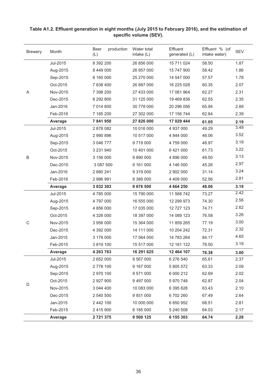| <b>Brewery</b> | Month          | <b>Beer</b><br>production<br>(L) | Water total<br>intake (L) | Effluent<br>generated (L) | Effluent % (of<br>intake water) | <b>SEV</b> |
|----------------|----------------|----------------------------------|---------------------------|---------------------------|---------------------------------|------------|
|                | Jul-2015       | 8 392 200                        | 26 856 000                | 15 711 024                | 58.50                           | 1.87       |
|                | Aug-2015       | 8 449 000                        | 26 957 000                | 15 747 900                | 58.42                           | 1.86       |
|                | Sep-2015       | 8 165 000                        | 25 270 000                | 14 547 000                | 57.57                           | 1.78       |
|                | Oct-2015       | 7 838 400                        | 26 887 000                | 16 225 028                | 60.35                           | 2.07       |
| Α              | Nov-2015       | 7 398 200                        | 27 433 000                | 17 081 964                | 62.27                           | 2.31       |
|                | Dec-2015       | 8 29 2 800                       | 31 125 000                | 19 469 836                | 62.55                           | 2.35       |
|                | Jan-2016       | 7 014 800                        | 30 778 000                | 20 296 056                | 65.94                           | 2.89       |
|                | Feb-2016       | 7 185 200                        | 27 302 000                | 17 156 744                | 62.84                           | 2.39       |
|                | Average        | 7841950                          | 27 826 000                | 17 029 444                | 61.05                           | 2.19       |
|                | Jul-2015       | 2878082                          | 10 016 000                | 4 937 000                 | 49.29                           | 3.48       |
| B              | Aug-2015       | 2 990 896                        | 10 517 000                | 4 844 000                 | 46.06                           | 3.52       |
|                | Sep-2015       | 3 046 777                        | 9719000                   | 4759000                   | 48.97                           | 3.19       |
|                | Oct-2015       | 3 2 3 1 9 4 0                    | 10 401 000                | 6 421 000                 | 61.73                           | 3.22       |
|                | Nov-2015       | 3 156 000                        | 9890000                   | 4 896 000                 | 49.50                           | 3.13       |
|                | Dec-2015       | 3 087 500                        | 9 161 000                 | 4 146 000                 | 45.26                           | 2.97       |
|                | Jan-2016       | 2 880 241                        | 9 319 000                 | 2 902 000                 | 31.14                           | 3.24       |
|                | Feb-2016       | 2 986 991                        | 8 389 000                 | 4 409 000                 | 52.56                           | 2.81       |
|                | Average        | 3 0 3 2 3 0 3                    | 9 676 500                 | 4 664 250                 | 48.06                           | 3.19       |
|                | Jul-2015       | 4785000                          | 15 790 000                | 11 568 742                | 73.27                           | 2.42       |
|                | Aug-2015       | 4797000                          | 16 555 000                | 12 299 973                | 74.30                           | 2.56       |
|                | Sep-2015       | 4 856 000                        | 17 035 000                | 12 727 123                | 74.71                           | 2.62       |
|                | Oct-2015       | 4 326 000                        | 18 397 000                | 14 089 123                | 76.58                           | 3.26       |
| C              | Nov-2015       | 3 956 000                        | 15 364 000                | 11 859 265                | 77.19                           | 3.00       |
|                | Dec-2015       | 4 392 000                        | 14 111 000                | 10 204 242                | 72.31                           | 2.32       |
|                | Jan-2015       | 3 179 000                        | 17 564 000                | 14 783 264                | 84.17                           | 4.65       |
|                | Feb-2015       | 3 819 100                        | 15 517 000                | 12 181 122                | 78.50                           | 3.19       |
|                | <b>Average</b> | 4 263 763                        | 16 291 625                | 12 464 107                | 76.38                           | 3.00       |
|                | Jul-2015       | 2 652 000                        | 9 567 000                 | 6 276 540                 | 65.61                           | 2.37       |
|                | Aug-2015       | 2778 100                         | 9 167 000                 | 5 805 572                 | 63.33                           | 2.09       |
|                | Sep-2015       | 2 970 100                        | 9 571 000                 | 6 000 212                 | 62.69                           | 2.02       |
| D              | Oct-2015       | 2 927 900                        | 9 497 000                 | 5 970 748                 | 62.87                           | 2.04       |
|                | Nov-2015       | 3 044 400                        | 10 083 000                | 6 395 628                 | 63.43                           | 2.10       |
|                | Dec-2015       | 2 540 500                        | 9 9 3 1 0 0 0             | 6702260                   | 67.49                           | 2.64       |
|                | Jan-2015       | 2 442 100                        | 10 000 000                | 6 850 952                 | 68.51                           | 2.81       |
|                | Feb-2015       | 2 415 900                        | 8 185 000                 | 5 240 508                 | 64.03                           | 2.17       |
|                | Average        | 2 721 375                        | 9 500 125                 | 6 155 303                 | 64.74                           | 2.28       |

#### **Table A1.2. Effluent generation in eight months (July 2015 to February 2016), and the estimation of specific volume (SEV).**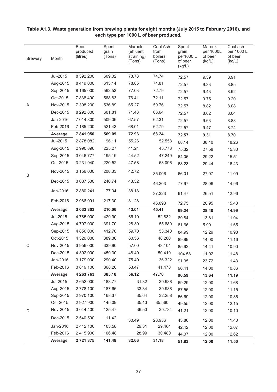| <b>Brewery</b> | Month    | Beer<br>produced<br>(litres) | Spent<br>grain<br>(Tons) | Maroek<br>(effluent<br>straining)<br>(Tons) | Coal Ash<br>from<br>boilers<br>(Tons) | Spent<br>grain<br>per1000L<br>of beer<br>(kg/L) | Maroek<br>per 1000L<br>of beer<br>(kg/L) | Coal ash<br>per 1000 L<br>of beer<br>(kg/L) |
|----------------|----------|------------------------------|--------------------------|---------------------------------------------|---------------------------------------|-------------------------------------------------|------------------------------------------|---------------------------------------------|
|                | Jul-2015 | 8 392 200                    | 609.02                   | 78.78                                       | 74.74                                 | 72.57                                           | 9.39                                     | 8.91                                        |
|                | Aug-2015 | 8 449 000                    | 613.14                   | 78.85                                       | 74.81                                 | 72.57                                           | 9.33                                     | 8.85                                        |
|                | Sep-2015 | 8 165 000                    | 592.53                   | 77.03                                       | 72.79                                 | 72.57                                           | 9.43                                     | 8.92                                        |
|                | Oct-2015 | 7 838 400                    | 568.83                   | 76.41                                       | 72.11                                 | 72.57                                           | 9.75                                     | 9.20                                        |
| Α              | Nov-2015 | 7 398 200                    | 536.89                   | 65.27                                       | 59.76                                 | 72.57                                           | 8.82                                     | 8.08                                        |
|                | Dec-2015 | 8 29 2 800                   | 601.81                   | 71.48                                       | 66.64                                 | 72.57                                           | 8.62                                     | 8.04                                        |
|                | Jan-2016 | 7 014 800                    | 509.06                   | 67.57                                       | 62.31                                 | 72.57                                           | 9.63                                     | 8.88                                        |
|                | Feb-2016 | 7 185 200                    | 521.43                   | 68.01                                       | 62.79                                 | 72.57                                           | 9.47                                     | 8.74                                        |
|                | Average  | 7841950                      | 569.09                   | 72.93                                       | 68.24                                 | 72.57                                           | 9.31                                     | 8.70                                        |
| B              | Jul-2015 | 2878082                      | 196.11                   | 55.26                                       | 52.558                                | 68.14                                           | 38.40                                    | 18.26                                       |
|                | Aug-2015 | 2 990 896                    | 225.27                   | 41.24                                       | 45.773                                | 75.32                                           | 27.58                                    | 15.30                                       |
|                | Sep-2015 | 3 046 777                    | 195.19                   | 44.52                                       | 47.249                                | 64.06                                           | 29.22                                    | 15.51                                       |
|                | Oct-2015 | 3 2 3 1 9 4 0                | 220.52                   | 47.58                                       | 53.096                                | 68.23                                           | 29.44                                    | 16.43                                       |
|                | Nov-2015 | 3 156 000                    | 208.33                   | 42.72                                       | 35.006                                | 66.01                                           | 27.07                                    | 11.09                                       |
|                | Dec-2015 | 3 087 500                    | 240.74                   | 43.32                                       | 46.203                                | 77.97                                           | 28.06                                    | 14.96                                       |
|                | Jan-2016 | 2 880 241                    | 177.04                   | 38.18                                       | 37.323                                | 61.47                                           | 26.51                                    | 12.96                                       |
|                | Feb-2016 | 2 986 991                    | 217.30                   | 31.28                                       | 46.093                                | 72.75                                           | 20.95                                    | 15.43                                       |
|                | Average  | 3 032 303                    | 210.06                   | 43.01                                       | 45.41                                 | 69.24                                           | 28.40                                    | 14.99                                       |
| C              | Jul-2015 | 4785000                      | 429.90                   | 66.10                                       | 52.832                                | 89.84                                           | 13.81                                    | 11.04                                       |
|                | Aug-2015 | 4 797 000                    | 391.70                   | 28.30                                       | 55.880                                | 81.66                                           | 5.90                                     | 11.65                                       |
|                | Sep-2015 | 4 856 000                    | 412.70                   | 59.70                                       | 53.340                                | 84.99                                           | 12.29                                    | 10.98                                       |
|                | Oct-2015 | 4 326 000                    | 389.30                   | 60.56                                       | 48.260                                | 89.99                                           | 14.00                                    | 11.16                                       |
|                | Nov-2015 | 3 956 000                    | 339.90                   | 57.00                                       | 43.104                                | 85.92                                           | 14.41                                    | 10.90                                       |
|                | Dec-2015 | 4 392 000                    | 459.30                   | 48.40                                       | 50.419                                | 104.58                                          | 11.02                                    | 11.48                                       |
|                | Jan-2016 | 3 179 000                    | 290.40                   | 75.40                                       | 36.322                                | 91.35                                           | 23.72                                    | 11.43                                       |
|                | Feb-2016 | 3 819 100                    | 368.20                   | 53.47                                       | 41.478                                | 96.41                                           | 14.00                                    | 10.86                                       |
|                | Average  | 4 263 763                    | 385.18                   | 56.12                                       | 47.70                                 | 90.59                                           | 13.64                                    | 11.19                                       |
|                | Jul-2015 | 2 652 000                    | 183.77                   | 31.82                                       | 30.988                                | 69.29                                           | 12.00                                    | 11.68                                       |
|                | Aug-2015 | 2 778 100                    | 187.66                   | 33.34                                       | 30.988                                | 67.55                                           | 12.00                                    | 11.15                                       |
|                | Sep-2015 | 2 970 100                    | 168.37                   | 35.64                                       | 32.258                                | 56.69                                           | 12.00                                    | 10.86                                       |
|                | Oct-2015 | 2 927 900                    | 145.09                   | 35.13                                       | 35.560                                | 49.55                                           | 12.00                                    | 12.15                                       |
| D              | Nov-2015 | 3 044 400                    | 125.47                   | 36.53                                       | 30.734                                | 41.21                                           | 12.00                                    | 10.10                                       |
|                | Dec-2015 | 2 540 500                    | 111.42                   | 30.49                                       | 28.956                                | 43.86                                           | 12.00                                    | 11.40                                       |
|                | Jan-2016 | 2 442 100                    | 103.58                   | 29.31                                       | 29.464                                | 42.42                                           | 12.00                                    | 12.07                                       |
|                | Feb-2016 | 2 415 900                    | 106.48                   | 28.99                                       | 30.480                                | 44.07                                           | 12.00                                    | 12.62                                       |
|                | Average  | 2 721 375                    | 141.48                   | 32.66                                       | 31.18                                 | 51.83                                           | 12.00                                    | 11.50                                       |

#### **Table A1.3. Waste generation from brewing plants for eight months (July 2015 to February 2016), and each type per 1000 L of beer produced.**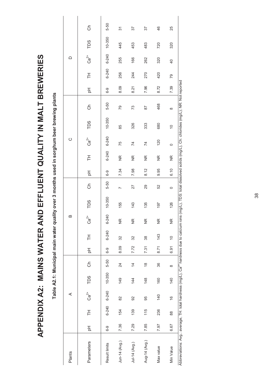**APPENDIX A2: MAINS WATER AND EFFLUENT QUALITY IN MALT BREWERIES**  APPENDIX A2: MAINS WATER AND EFFLUENT QUALITY IN MALT BREWERIES

| <b>Plants</b>    |         |           | ⋖             |        |                 |            |                | മ                      |        |                |         |                        | $\circ$   |               |          |      |           | ≏              |        |      |
|------------------|---------|-----------|---------------|--------|-----------------|------------|----------------|------------------------|--------|----------------|---------|------------------------|-----------|---------------|----------|------|-----------|----------------|--------|------|
| Parameters       | 공       | E         | $Ca^{2+}$     | TDS    | 5               | 苦          | 픈              | $Ca^{2+}$              | TDS    | 5              | 공       | H                      | $Ca^{2+}$ | TDS           | 5        | 공    | 폰         | $Ca^{2+}$      | TDS    | δ    |
| Result limits    | $6 - 9$ | $6 - 240$ | 6-240         | 10-350 | $5 - 50$        | <b>G-9</b> | $6 - 240$      | $6 - 240$              | 10-350 | 5-50           | $6 - 9$ | 6-240                  | 6-240     | 10-350        | $5 - 50$ | 6-9  | $6 - 240$ | 6-240          | 10-350 | 5-50 |
| Jun-14 (Avg.)    | 7.36    | 154       | 82            | 149    | $\overline{24}$ | 8.09       | 32             | $\frac{\alpha}{\beta}$ | 155    | $\overline{ }$ | 7.34    | $\frac{\alpha}{\beta}$ | 75        | 85            | 79       | 8.09 | 256       | 255            | 445    | 91   |
| $Jul-14 (Avg. )$ | 7.29    | 139       | 92            | 144    | $\overline{4}$  | 7.72       | 32             | $\frac{\alpha}{\beta}$ | 143    | 27             | 7.98    | $\frac{\alpha}{\beta}$ | 74        | 326           | 73       | 8.21 | 244       | 166            | 453    | 57   |
| Aug-14 (Avg.)    | 7.85    | 115       | 95            | 148    | $\frac{8}{1}$   | 7.31       | 38             | $\frac{\alpha}{\beta}$ | 135    | 29             | 8.12    | $\frac{\alpha}{\beta}$ | 74        | 333           | 87       | 7.96 | 270       | 262            | 483    | 57   |
| Max value        | 7.97    | 236       | 140           | 160    | 36              | 8.71       | 143            | $\frac{R}{Z}$          | 197    | 52             | 9.95    | $\frac{\alpha}{\beta}$ | 120       | 680           | 468      | 8.72 | 420       | 320            | 720    | 46   |
| Min Value        | 6.67    | 88        | $\frac{6}{5}$ | 140    | $\infty$        | 6.91       | $\overline{0}$ | $\frac{\alpha}{\beta}$ | 126    | $\circ$        | 6.10    | $\frac{\alpha}{\beta}$ | $\circ$   | $\frac{1}{2}$ | $\infty$ | 7.39 | 79        | $\overline{4}$ | 320    | 25   |

Table A2.1: Municipal main water quality over 3 months used in sorghum beer brewing plants **Table A2.1: Municipal main water quality over 3 months used in sorghum beer brewing plants** 

Abbreviations: Avg.: average, TH: total hardness (mg/L), Ca<sup>2+</sup> hardness due to calcium ions (mg/L), TDS: total dissolved solids (mg/L), Ch: chlorides (mg/L); NR: Not reported Abbreviations: Avg.: average, TH: total hardness (mg/L), Ca2+ hardness due to calcium ions (mg/L), TDS: total dissolved solids (mg/L), Ch: chlorides (mg/L); NR: Not reported

38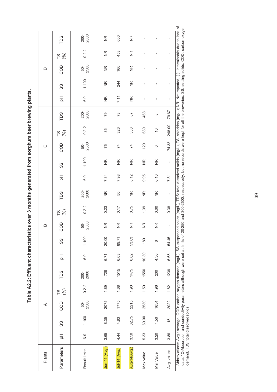| J<br>)<br>2<br>2    |
|---------------------|
|                     |
|                     |
|                     |
|                     |
|                     |
|                     |
| $\frac{1}{2}$       |
|                     |
|                     |
|                     |
|                     |
| i                   |
|                     |
| ے<br>مام<br>;<br> } |

|               | <b>POL</b>    | 200-<br>2000  | $\frac{\alpha}{\beta}$  | 600                     | $\frac{\alpha}{\beta}$          |                        |                        |               |                                                                                                                                                                                             |
|---------------|---------------|---------------|-------------------------|-------------------------|---------------------------------|------------------------|------------------------|---------------|---------------------------------------------------------------------------------------------------------------------------------------------------------------------------------------------|
|               | $\frac{6}{5}$ | $0.2 - 2$     | $\frac{\alpha}{\beta}$  | 453                     | $\frac{\alpha}{\beta}$          |                        |                        | ı             |                                                                                                                                                                                             |
| $\Box$        | COD           | 50-<br>2500   | $\frac{\alpha}{\beta}$  | 166                     | $\frac{\alpha}{\beta}$          |                        |                        | ı             |                                                                                                                                                                                             |
|               | SS            | $1 - 100$     | $\widetilde{\Xi}$       | 244                     | $\frac{\alpha}{\beta}$          |                        |                        | ı             |                                                                                                                                                                                             |
|               | 공             | $6 - 9$       | $\widetilde{\Xi}$       | 7.11                    | $\frac{\alpha}{\beta}$          |                        |                        | ı             |                                                                                                                                                                                             |
|               | TDS           | 200-<br>2000  | 79                      | 73                      | 87                              | 468                    | $\infty$               | 79.67         |                                                                                                                                                                                             |
|               | $\frac{6}{5}$ | $0.2 - 2$     | 85                      | 326                     | 333                             | 680                    | $\frac{1}{2}$          | 248.00        |                                                                                                                                                                                             |
| $\circ$       | GOD           | 50-<br>2500   | 75                      | $\overline{7}$          | $\overline{7}$                  | 120                    | $\circ$                | 74.33         |                                                                                                                                                                                             |
|               | SS            | $1 - 100$     | $\frac{\alpha}{\beta}$  | $\frac{\alpha}{2}$      | $\frac{\alpha}{\beta}$          | $\frac{\alpha}{\beta}$ | $\frac{\alpha}{\beta}$ | ı             |                                                                                                                                                                                             |
|               | 공             | $6 - 9$       | 7.34                    | 7.98                    | 8.12                            | 9.95                   | 6.10                   | 7.81          |                                                                                                                                                                                             |
| B             | TDS           | 200-          | $\widetilde{\Xi}$       | 50                      | $\widetilde{\Xi}$               | $\widetilde{\Xi}$      | $\frac{\alpha}{\beta}$ | ı             |                                                                                                                                                                                             |
|               | <u>8 v</u>    | $0.2 - 2$     | 0.23                    | 0.17                    | 0.75                            | 1.39                   | 0.00                   | 0.38          |                                                                                                                                                                                             |
|               | COD           | 50-<br>2500   | $\frac{\alpha}{\alpha}$ | $\frac{\alpha}{\alpha}$ | $\frac{\mathsf{K}}{\mathsf{K}}$ | $\frac{\alpha}{\beta}$ | $\frac{\alpha}{\beta}$ |               |                                                                                                                                                                                             |
|               | SS            | $1 - 100$     | 20.00                   | 89.71                   | 53.63                           | 180                    | 6                      | 54.45         |                                                                                                                                                                                             |
|               | Ξ             | $6-9$         | 6.71                    | 6.63                    | 6.62                            | 10.30                  | 4.36                   | 6.65          |                                                                                                                                                                                             |
| ⋖             | TDS           | 200-<br>2000  | 728                     | 1515                    | 1475                            | 1550                   | 200                    | 1239          |                                                                                                                                                                                             |
|               | <u>၉၈</u>     | $0.2 - 2$     | 1.89                    | 1.68                    | 1.90                            | 1.50                   | 1.96                   | 1.82          |                                                                                                                                                                                             |
|               | COD           | 2500<br>50-   | 2075                    | 1775                    | 2215                            | 2530                   | 1654                   | 2022          |                                                                                                                                                                                             |
|               | SS            | $1 - 100$     | 8.35                    | 4.83                    | 32.75                           | 60.00                  | 4.50                   | $\frac{5}{1}$ |                                                                                                                                                                                             |
|               | Ξ             | $6 - 9$       | 3.65                    | 4.44                    | 3.50                            | 5.33                   | 3.20                   | 3.86          |                                                                                                                                                                                             |
| <b>Plants</b> | Parameters    | Result limits | Jun-14 $(Avg.)$         | Jul-14 (Avg.)           | Aug-14 ( $Avg$ .)               | Max value              | Min Value              | Avg. values   | Abbreviations: Avg.: average. COD: carbon oxygen demand (mol/L). SS: suspended solids (mol/L). To: chios (mol/L). To: chlorides (mol/L): NR: Not reported. (-): interminable due to lack of |

Aboreviations. Avg.. average, COD. carbon oxygen deniand (migr.), SS. suspended solids (migr.), DS. total ussolved solids (migr.), iS. circuldes (migr.), iNc. Not reported, (~). intermination due to lack or<br>data. \*O-Absorp Abbreviations: Avg.: average, COD: carbon oxygen demand (mg/L), SS: suspended solids (mg/L), TDS: total dissolved solids (mg/L), TS: chlorides (mg/L); NR: Not reported, (-): interminable due to lack of data. \*O-Absorption and conductivity parameters although were set at limits of 20-250 and 300-2500, respectively, but no records were kept for all the breweries. SS: settling solids, COD: carbon oxygen demand, TDS: total dissolved solids.